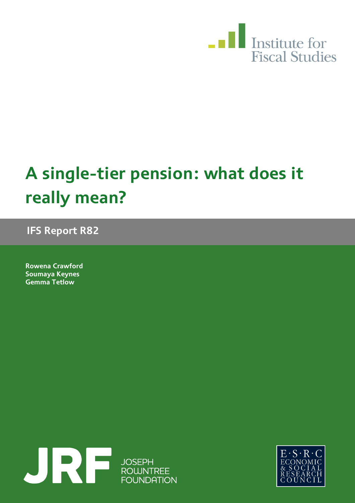

# **A single-tier pension: what does it really mean?**

**IFS Report R82**

**Rowena Crawford Soumaya Keynes Gemma Tetlow** 



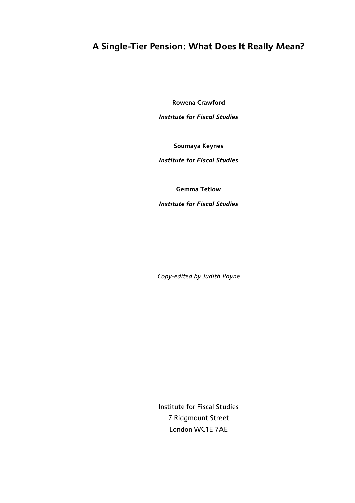## **A Single-Tier Pension: What Does It Really Mean?**

**Rowena Crawford**

*Institute for Fiscal Studies*

**Soumaya Keynes**

*Institute for Fiscal Studies*

**Gemma Tetlow**

*Institute for Fiscal Studies*

*Copy-edited by Judith Payne*

Institute for Fiscal Studies 7 Ridgmount Street London WC1E 7AE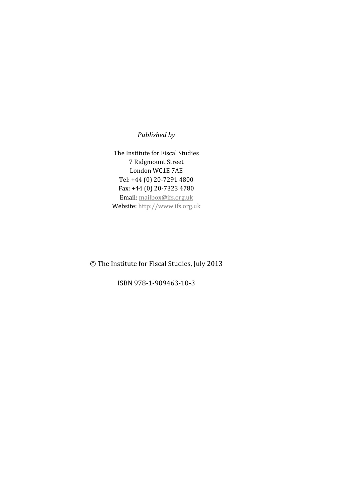### *Published by*

The Institute for Fiscal Studies 7 Ridgmount Street London WC1E 7AE Tel: +44 (0) 20-7291 4800 Fax: +44 (0) 20-7323 4780 Email: mailbox@ifs.org.uk Website: http://www.ifs.org.uk

© The Institute for Fiscal Studies, July 2013

ISBN 978-1-909463-10-3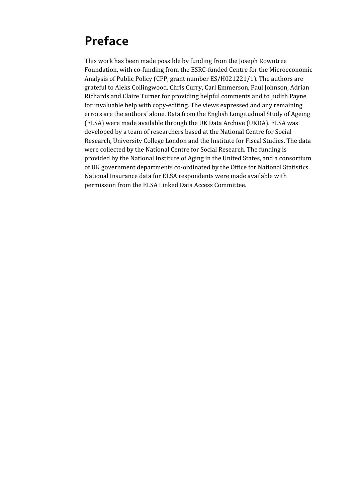## **Preface**

This work has been made possible by funding from the Joseph Rowntree Foundation, with co-funding from the ESRC-funded Centre for the Microeconomic Analysis of Public Policy (CPP, grant number ES/H021221/1). The authors are grateful to Aleks Collingwood, Chris Curry, Carl Emmerson, Paul Johnson, Adrian Richards and Claire Turner for providing helpful comments and to Judith Payne for invaluable help with copy-editing. The views expressed and any remaining errors are the authors' alone. Data from the English Longitudinal Study of Ageing (ELSA) were made available through the UK Data Archive (UKDA). ELSA was developed by a team of researchers based at the National Centre for Social Research, University College London and the Institute for Fiscal Studies. The data were collected by the National Centre for Social Research. The funding is provided by the National Institute of Aging in the United States, and a consortium of UK government departments co-ordinated by the Office for National Statistics. National Insurance data for ELSA respondents were made available with permission from the ELSA Linked Data Access Committee.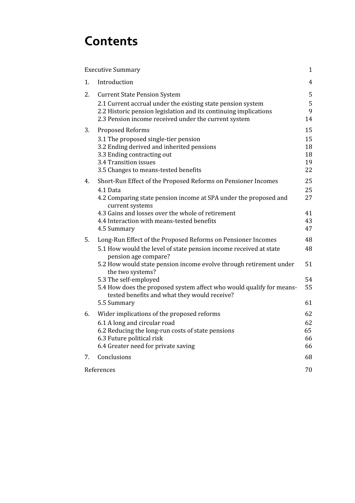## **Contents**

|    | <b>Executive Summary</b>                                                                                                                                                                                                                               | $\mathbf{1}$                     |
|----|--------------------------------------------------------------------------------------------------------------------------------------------------------------------------------------------------------------------------------------------------------|----------------------------------|
| 1. | Introduction                                                                                                                                                                                                                                           | $\overline{4}$                   |
| 2. | <b>Current State Pension System</b><br>2.1 Current accrual under the existing state pension system<br>2.2 Historic pension legislation and its continuing implications<br>2.3 Pension income received under the current system                         | 5<br>5<br>9<br>14                |
| 3. | <b>Proposed Reforms</b><br>3.1 The proposed single-tier pension<br>3.2 Ending derived and inherited pensions<br>3.3 Ending contracting out<br>3.4 Transition issues<br>3.5 Changes to means-tested benefits                                            | 15<br>15<br>18<br>18<br>19<br>22 |
| 4. | Short-Run Effect of the Proposed Reforms on Pensioner Incomes<br>4.1 Data<br>4.2 Comparing state pension income at SPA under the proposed and<br>current systems<br>4.3 Gains and losses over the whole of retirement                                  | 25<br>25<br>27<br>41             |
|    | 4.4 Interaction with means-tested benefits<br>4.5 Summary                                                                                                                                                                                              | 43<br>47                         |
| 5. | Long-Run Effect of the Proposed Reforms on Pensioner Incomes<br>5.1 How would the level of state pension income received at state<br>pension age compare?                                                                                              | 48<br>48                         |
|    | 5.2 How would state pension income evolve through retirement under<br>the two systems?<br>5.3 The self-employed<br>5.4 How does the proposed system affect who would qualify for means-<br>tested benefits and what they would receive?<br>5.5 Summary | 51<br>54<br>55<br>61             |
| 6. | Wider implications of the proposed reforms<br>6.1 A long and circular road<br>6.2 Reducing the long-run costs of state pensions<br>6.3 Future political risk<br>6.4 Greater need for private saving                                                    | 62<br>62<br>65<br>66<br>66       |
| 7. | Conclusions                                                                                                                                                                                                                                            | 68                               |
|    | References                                                                                                                                                                                                                                             | 70                               |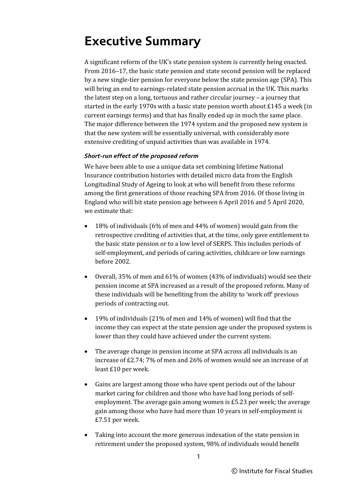## <span id="page-7-0"></span>**Executive Summary**

A significant reform of the UK's state pension system is currently being enacted. From 2016–17, the basic state pension and state second pension will be replaced by a new single-tier pension for everyone below the state pension age (SPA). This will bring an end to earnings-related state pension accrual in the UK. This marks the latest step on a long, tortuous and rather circular journey – a journey that started in the early 1970s with a basic state pension worth about £145 a week (in current earnings terms) and that has finally ended up in much the same place. The major difference between the 1974 system and the proposed new system is that the new system will be essentially universal, with considerably more extensive crediting of unpaid activities than was available in 1974.

### *Short-run effect of the proposed reform*

We have been able to use a unique data set combining lifetime National Insurance contribution histories with detailed micro data from the English Longitudinal Study of Ageing to look at who will benefit from these reforms among the first generations of those reaching SPA from 2016. Of those living in England who will hit state pension age between 6 April 2016 and 5 April 2020, we estimate that:

- 18% of individuals (6% of men and 44% of women) would gain from the retrospective crediting of activities that, at the time, only gave entitlement to the basic state pension or to a low level of SERPS. This includes periods of self-employment, and periods of caring activities, childcare or low earnings before 2002.
- Overall, 35% of men and 61% of women (43% of individuals) would see their pension income at SPA increased as a result of the proposed reform. Many of these individuals will be benefiting from the ability to 'work off' previous periods of contracting out.
- 19% of individuals (21% of men and 14% of women) will find that the income they can expect at the state pension age under the proposed system is lower than they could have achieved under the current system.
- The average change in pension income at SPA across all individuals is an increase of £2.74; 7% of men and 26% of women would see an increase of at least £10 per week.
- Gains are largest among those who have spent periods out of the labour market caring for children and those who have had long periods of selfemployment. The average gain among women is £5.23 per week; the average gain among those who have had more than 10 years in self-employment is £7.51 per week.
- Taking into account the more generous indexation of the state pension in retirement under the proposed system, 98% of individuals would benefit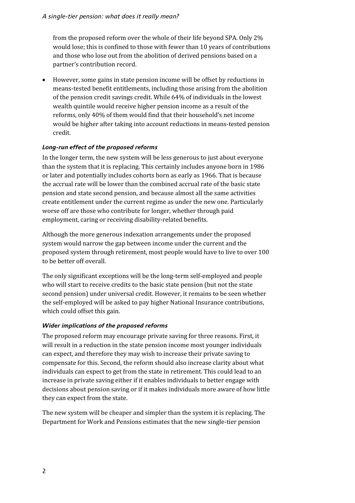from the proposed reform over the whole of their life beyond SPA. Only 2% would lose; this is confined to those with fewer than 10 years of contributions and those who lose out from the abolition of derived pensions based on a partner's contribution record.

• However, some gains in state pension income will be offset by reductions in means-tested benefit entitlements, including those arising from the abolition of the pension credit savings credit. While 64% of individuals in the lowest wealth quintile would receive higher pension income as a result of the reforms, only 40% of them would find that their household's net income would be higher after taking into account reductions in means-tested pension credit.

### *Long-run effect of the proposed reforms*

In the longer term, the new system will be less generous to just about everyone than the system that it is replacing. This certainly includes anyone born in 1986 or later and potentially includes cohorts born as early as 1966. That is because the accrual rate will be lower than the combined accrual rate of the basic state pension and state second pension, and because almost all the same activities create entitlement under the current regime as under the new one. Particularly worse off are those who contribute for longer, whether through paid employment, caring or receiving disability-related benefits.

Although the more generous indexation arrangements under the proposed system would narrow the gap between income under the current and the proposed system through retirement, most people would have to live to over 100 to be better off overall.

The only significant exceptions will be the long-term self-employed and people who will start to receive credits to the basic state pension (but not the state second pension) under universal credit. However, it remains to be seen whether the self-employed will be asked to pay higher National Insurance contributions, which could offset this gain.

### *Wider implications of the proposed reforms*

The proposed reform may encourage private saving for three reasons. First, it will result in a reduction in the state pension income most younger individuals can expect, and therefore they may wish to increase their private saving to compensate for this. Second, the reform should also increase clarity about what individuals can expect to get from the state in retirement. This could lead to an increase in private saving either if it enables individuals to better engage with decisions about pension saving or if it makes individuals more aware of how little they can expect from the state.

The new system will be cheaper and simpler than the system it is replacing. The Department for Work and Pensions estimates that the new single-tier pension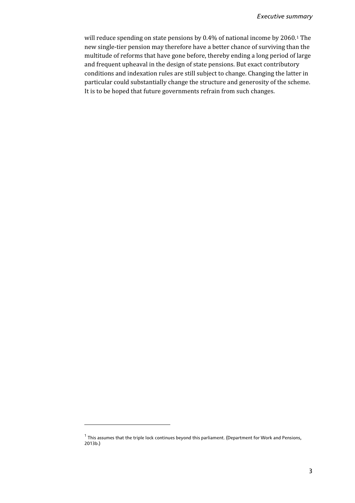will reduce spending on state pensions by 0.4% of national income by 2060.<sup>[1](#page-9-0)</sup> The new single-tier pension may therefore have a better chance of surviving than the multitude of reforms that have gone before, thereby ending a long period of large and frequent upheaval in the design of state pensions. But exact contributory conditions and indexation rules are still subject to change. Changing the latter in particular could substantially change the structure and generosity of the scheme. It is to be hoped that future governments refrain from such changes.

<span id="page-9-0"></span> $1$  This assumes that the triple lock continues beyond this parliament. (Department for Work and Pensions, 2013b.)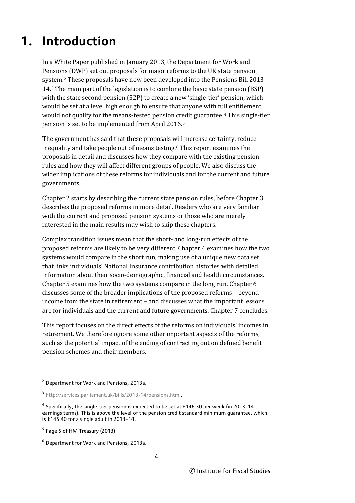## <span id="page-10-0"></span>**1. Introduction**

In a White Paper published in January 2013, the Department for Work and Pensions (DWP) set out proposals for major reforms to the UK state pension system.[2](#page-10-1) These proposals have now been developed into the Pensions Bill 2013– 14.[3](#page-10-2) The main part of the legislation is to combine the basic state pension (BSP) with the state second pension (S2P) to create a new 'single-tier' pension, which would be set at a level high enough to ensure that anyone with full entitlement would not qualify for the means-tested pension credit guarantee.[4](#page-10-3) This single-tier pension is set to be implemented from April 2016.[5](#page-10-4)

The government has said that these proposals will increase certainty, reduce inequality and take people out of means testing.[6](#page-10-5) This report examines the proposals in detail and discusses how they compare with the existing pension rules and how they will affect different groups of people. We also discuss the wider implications of these reforms for individuals and for the current and future governments.

Chapter 2 starts by describing the current state pension rules, before Chapter 3 describes the proposed reforms in more detail. Readers who are very familiar with the current and proposed pension systems or those who are merely interested in the main results may wish to skip these chapters.

Complex transition issues mean that the short- and long-run effects of the proposed reforms are likely to be very different. Chapter 4 examines how the two systems would compare in the short run, making use of a unique new data set that links individuals' National Insurance contribution histories with detailed information about their socio-demographic, financial and health circumstances. Chapter 5 examines how the two systems compare in the long run. Chapter 6 discusses some of the broader implications of the proposed reforms – beyond income from the state in retirement – and discusses what the important lessons are for individuals and the current and future governments. Chapter 7 concludes.

This report focuses on the direct effects of the reforms on individuals' incomes in retirement. We therefore ignore some other important aspects of the reforms, such as the potential impact of the ending of contracting out on defined benefit pension schemes and their members.

<span id="page-10-1"></span><sup>&</sup>lt;sup>2</sup> Department for Work and Pensions, 2013a.

<span id="page-10-2"></span><sup>3</sup> [http://services.parliament.uk/bills/2013-14/pensions.html.](http://services.parliament.uk/bills/2013-14/pensions.html)

<span id="page-10-3"></span> $4$  Specifically, the single-tier pension is expected to be set at £146.30 per week (in 2013–14 earnings terms). This is above the level of the pension credit standard minimum guarantee, which is £145.40 for a single adult in 2013–14.

<span id="page-10-4"></span> $<sup>5</sup>$  Page 5 of HM Treasury (2013).</sup>

<span id="page-10-5"></span><sup>6</sup> Department for Work and Pensions, 2013a.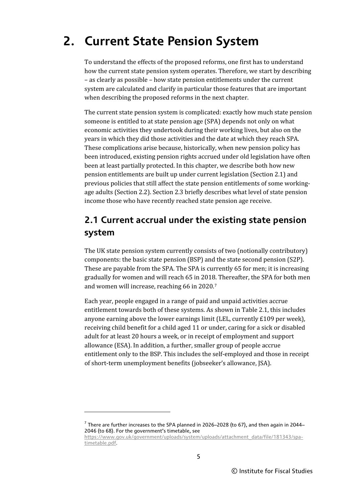## <span id="page-11-0"></span>**2. Current State Pension System**

To understand the effects of the proposed reforms, one first has to understand how the current state pension system operates. Therefore, we start by describing – as clearly as possible – how state pension entitlements under the current system are calculated and clarify in particular those features that are important when describing the proposed reforms in the next chapter.

The current state pension system is complicated: exactly how much state pension someone is entitled to at state pension age (SPA) depends not only on what economic activities they undertook during their working lives, but also on the years in which they did those activities and the date at which they reach SPA. These complications arise because, historically, when new pension policy has been introduced, existing pension rights accrued under old legislation have often been at least partially protected. In this chapter, we describe both how new pension entitlements are built up under current legislation (Section 2.1) and previous policies that still affect the state pension entitlements of some workingage adults (Section 2.2). Section 2.3 briefly describes what level of state pension income those who have recently reached state pension age receive.

## <span id="page-11-1"></span>**2.1 Current accrual under the existing state pension system**

The UK state pension system currently consists of two (notionally contributory) components: the basic state pension (BSP) and the state second pension (S2P). These are payable from the SPA. The SPA is currently 65 for men; it is increasing gradually for women and will reach 65 in 2018. Thereafter, the SPA for both men and women will increase, reaching 66 in 2020.[7](#page-11-2)

Each year, people engaged in a range of paid and unpaid activities accrue entitlement towards both of these systems. As shown in Table 2.1, this includes anyone earning above the lower earnings limit (LEL, currently  $£109$  per week), receiving child benefit for a child aged 11 or under, caring for a sick or disabled adult for at least 20 hours a week, or in receipt of employment and support allowance (ESA). In addition, a further, smaller group of people accrue entitlement only to the BSP. This includes the self-employed and those in receipt of short-term unemployment benefits (jobseeker's allowance, JSA).

<span id="page-11-2"></span> $7$  There are further increases to the SPA planned in 2026–2028 (to 67), and then again in 2044– 2046 (to 68). For the government's timetable, see

[https://www.gov.uk/government/uploads/system/uploads/attachment\\_data/file/181343/spa](https://www.gov.uk/government/uploads/system/uploads/attachment_data/file/181343/spa-timetable.pdf)[timetable.pdf.](https://www.gov.uk/government/uploads/system/uploads/attachment_data/file/181343/spa-timetable.pdf)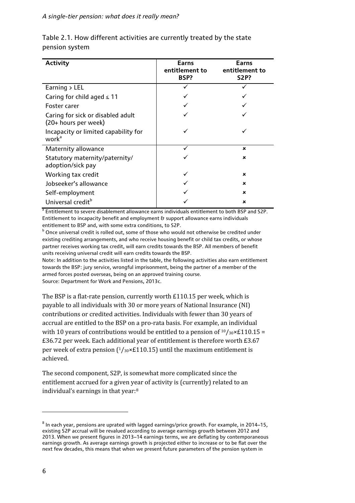#### *A single-tier pension: what does it really mean?*

| <b>Activity</b>                                           | Earns<br>entitlement to<br>BSP? | Earns<br>entitlement to<br><b>S2P?</b> |
|-----------------------------------------------------------|---------------------------------|----------------------------------------|
| Earning $>$ LEL                                           |                                 |                                        |
| Caring for child aged $\leq 11$                           |                                 |                                        |
| Foster carer                                              |                                 |                                        |
| Caring for sick or disabled adult<br>(20+ hours per week) |                                 |                                        |
| Incapacity or limited capability for<br>work <sup>a</sup> |                                 |                                        |
| Maternity allowance                                       |                                 | $\mathbf x$                            |
| Statutory maternity/paternity/<br>adoption/sick pay       |                                 | $\boldsymbol{\mathsf{x}}$              |
| Working tax credit                                        |                                 | $\mathbf x$                            |
| Jobseeker's allowance                                     |                                 | $\mathbf x$                            |
| Self-employment                                           |                                 | $\mathbf x$                            |
| Universal credit <sup>b</sup>                             |                                 | $\boldsymbol{\mathsf{x}}$              |

Table 2.1. How different activities are currently treated by the state pension system

<sup>a</sup> Entitlement to severe disablement allowance earns individuals entitlement to both BSP and S2P. Entitlement to incapacity benefit and employment & support allowance earns individuals entitlement to BSP and, with some extra conditions, to S2P.

<sup>b</sup> Once universal credit is rolled out, some of those who would not otherwise be credited under existing crediting arrangements, and who receive housing benefit or child tax credits, or whose partner receives working tax credit, will earn credits towards the BSP. All members of benefit units receiving universal credit will earn credits towards the BSP.

Note: In addition to the activities listed in the table, the following activities also earn entitlement towards the BSP: jury service, wrongful imprisonment, being the partner of a member of the armed forces posted overseas, being on an approved training course. Source: Department for Work and Pensions, 2013c.

The BSP is a flat-rate pension, currently worth £110.15 per week, which is payable to all individuals with 30 or more years of National Insurance (NI) contributions or credited activities. Individuals with fewer than 30 years of accrual are entitled to the BSP on a pro-rata basis. For example, an individual with 10 years of contributions would be entitled to a pension of  $10/30 \times 110.15 =$ £36.72 per week. Each additional year of entitlement is therefore worth £3.67 per week of extra pension  $(1/30 \times 110.15)$  until the maximum entitlement is achieved.

The second component, S2P, is somewhat more complicated since the entitlement accrued for a given year of activity is (currently) related to an individual's earnings in that year:[8](#page-12-0)

 $\overline{a}$ 

<span id="page-12-0"></span> $8$  In each year, pensions are uprated with lagged earnings/price growth. For example, in 2014–15, existing S2P accrual will be revalued according to average earnings growth between 2012 and 2013. When we present figures in 2013–14 earnings terms, we are deflating by contemporaneous earnings growth. As average earnings growth is projected either to increase or to be flat over the next few decades, this means that when we present future parameters of the pension system in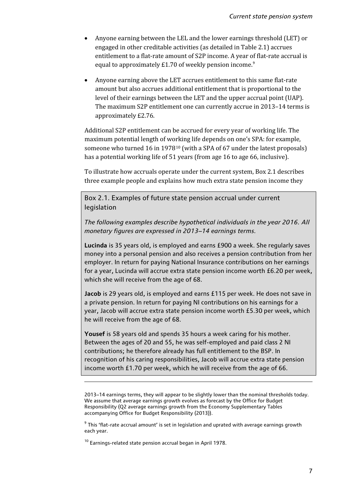- Anyone earning between the LEL and the lower earnings threshold (LET) or engaged in other creditable activities (as detailed in Table 2.1) accrues entitlement to a flat-rate amount of S2P income. A year of flat-rate accrual is equal to approximately  $£1.70$  of weekly pension income.<sup>[9](#page-13-0)</sup>
- Anyone earning above the LET accrues entitlement to this same flat-rate amount but also accrues additional entitlement that is proportional to the level of their earnings between the LET and the upper accrual point (UAP). The maximum S2P entitlement one can currently accrue in 2013–14 terms is approximately £2.76.

Additional S2P entitlement can be accrued for every year of working life. The maximum potential length of working life depends on one's SPA: for example, someone who turned 16 in 1978[10](#page-13-1) (with a SPA of 67 under the latest proposals) has a potential working life of 51 years (from age 16 to age 66, inclusive).

To illustrate how accruals operate under the current system, Box 2.1 describes three example people and explains how much extra state pension income they

Box 2.1. Examples of future state pension accrual under current legislation

*The following examples describe hypothetical individuals in the year 2016. All monetary figures are expressed in 2013–14 earnings terms.*

**Lucinda** is 35 years old, is employed and earns £900 a week. She regularly saves money into a personal pension and also receives a pension contribution from her employer. In return for paying National Insurance contributions on her earnings for a year, Lucinda will accrue extra state pension income worth £6.20 per week, which she will receive from the age of 68.

**Jacob** is 29 years old, is employed and earns £115 per week. He does not save in a private pension. In return for paying NI contributions on his earnings for a year, Jacob will accrue extra state pension income worth £5.30 per week, which he will receive from the age of 68.

**Yousef** is 58 years old and spends 35 hours a week caring for his mother. Between the ages of 20 and 55, he was self-employed and paid class 2 NI contributions; he therefore already has full entitlement to the BSP. In recognition of his caring responsibilities, Jacob will accrue extra state pension income worth £1.70 per week, which he will receive from the age of 66.

<u>.</u>

<sup>2013–14</sup> earnings terms, they will appear to be slightly lower than the nominal thresholds today. We assume that average earnings growth evolves as forecast by the Office for Budget Responsibility (Q2 average earnings growth from the Economy Supplementary Tables accompanying Office for Budget Responsibility (2013)).

<span id="page-13-0"></span> $9$  This 'flat-rate accrual amount' is set in legislation and uprated with average earnings growth each year.

<span id="page-13-1"></span> $^{10}$  Earnings-related state pension accrual began in April 1978.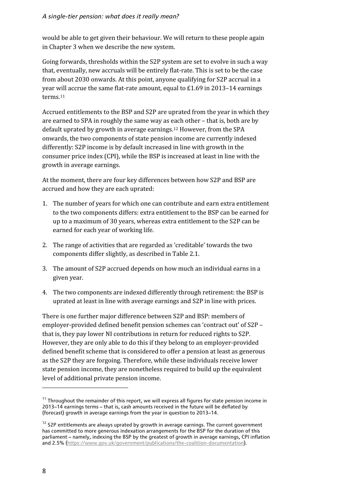#### *A single-tier pension: what does it really mean?*

would be able to get given their behaviour. We will return to these people again in Chapter 3 when we describe the new system.

Going forwards, thresholds within the S2P system are set to evolve in such a way that, eventually, new accruals will be entirely flat-rate. This is set to be the case from about 2030 onwards. At this point, anyone qualifying for S2P accrual in a year will accrue the same flat-rate amount, equal to £1.69 in 2013–14 earnings terms.[11](#page-14-0)

Accrued entitlements to the BSP and S2P are uprated from the year in which they are earned to SPA in roughly the same way as each other – that is, both are by default uprated by growth in average earnings.[12](#page-14-1) However, from the SPA onwards, the two components of state pension income are currently indexed differently: S2P income is by default increased in line with growth in the consumer price index (CPI), while the BSP is increased at least in line with the growth in average earnings.

At the moment, there are four key differences between how S2P and BSP are accrued and how they are each uprated:

- 1. The number of years for which one can contribute and earn extra entitlement to the two components differs: extra entitlement to the BSP can be earned for up to a maximum of 30 years, whereas extra entitlement to the S2P can be earned for each year of working life.
- 2. The range of activities that are regarded as 'creditable' towards the two components differ slightly, as described in Table 2.1.
- 3. The amount of S2P accrued depends on how much an individual earns in a given year.
- 4. The two components are indexed differently through retirement: the BSP is uprated at least in line with average earnings and S2P in line with prices.

There is one further major difference between S2P and BSP: members of employer-provided defined benefit pension schemes can 'contract out' of S2P – that is, they pay lower NI contributions in return for reduced rights to S2P. However, they are only able to do this if they belong to an employer-provided defined benefit scheme that is considered to offer a pension at least as generous as the S2P they are forgoing. Therefore, while these individuals receive lower state pension income, they are nonetheless required to build up the equivalent level of additional private pension income.

<span id="page-14-0"></span> $11$  Throughout the remainder of this report, we will express all figures for state pension income in 2013–14 earnings terms – that is, cash amounts received in the future will be deflated by (forecast) growth in average earnings from the year in question to 2013–14.

<span id="page-14-1"></span> $12$  S2P entitlements are always uprated by growth in average earnings. The current government has committed to more generous indexation arrangements for the BSP for the duration of this parliament – namely, indexing the BSP by the greatest of growth in average earnings, CPI inflation and 2.5% [\(https://www.gov.uk/government/publications/the-coalition-documentation\)](https://www.gov.uk/government/publications/the-coalition-documentation).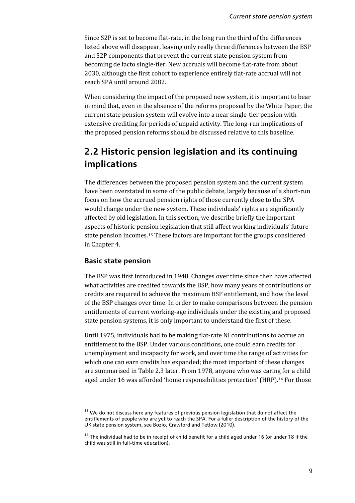Since S2P is set to become flat-rate, in the long run the third of the differences listed above will disappear, leaving only really three differences between the BSP and S2P components that prevent the current state pension system from becoming de facto single-tier. New accruals will become flat-rate from about 2030, although the first cohort to experience entirely flat-rate accrual will not reach SPA until around 2082.

When considering the impact of the proposed new system, it is important to bear in mind that, even in the absence of the reforms proposed by the White Paper, the current state pension system will evolve into a near single-tier pension with extensive crediting for periods of unpaid activity. The long-run implications of the proposed pension reforms should be discussed relative to this baseline.

## <span id="page-15-0"></span>**2.2 Historic pension legislation and its continuing implications**

The differences between the proposed pension system and the current system have been overstated in some of the public debate, largely because of a short-run focus on how the accrued pension rights of those currently close to the SPA would change under the new system. These individuals' rights are significantly affected by old legislation. In this section**,** we describe briefly the important aspects of historic pension legislation that still affect working individuals' future state pension incomes.[13](#page-15-1) These factors are important for the groups considered in Chapter 4.

### **Basic state pension**

<u>.</u>

The BSP was first introduced in 1948. Changes over time since then have affected what activities are credited towards the BSP, how many years of contributions or credits are required to achieve the maximum BSP entitlement, and how the level of the BSP changes over time. In order to make comparisons between the pension entitlements of current working-age individuals under the existing and proposed state pension systems, it is only important to understand the first of these.

Until 1975, individuals had to be making flat-rate NI contributions to accrue an entitlement to the BSP. Under various conditions, one could earn credits for unemployment and incapacity for work, and over time the range of activities for which one can earn credits has expanded; the most important of these changes are summarised in Table 2.3 later. From 1978, anyone who was caring for a child aged under 16 was afforded 'home responsibilities protection' (HRP).<sup>[14](#page-15-2)</sup> For those

<span id="page-15-1"></span> $13$  We do not discuss here any features of previous pension legislation that do not affect the entitlements of people who are yet to reach the SPA. For a fuller description of the history of the UK state pension system, see Bozio, Crawford and Tetlow (2010).

<span id="page-15-2"></span> $14$  The individual had to be in receipt of child benefit for a child aged under 16 (or under 18 if the child was still in full-time education).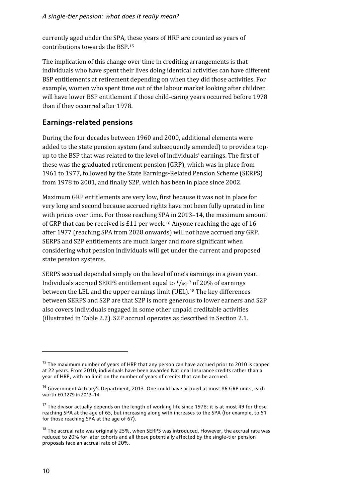currently aged under the SPA, these years of HRP are counted as years of contributions towards the BSP.[15](#page-16-0)

The implication of this change over time in crediting arrangements is that individuals who have spent their lives doing identical activities can have different BSP entitlements at retirement depending on when they did those activities. For example, women who spent time out of the labour market looking after children will have lower BSP entitlement if those child-caring years occurred before 1978 than if they occurred after 1978.

### **Earnings-related pensions**

During the four decades between 1960 and 2000, additional elements were added to the state pension system (and subsequently amended) to provide a topup to the BSP that was related to the level of individuals' earnings. The first of these was the graduated retirement pension (GRP), which was in place from 1961 to 1977, followed by the State Earnings-Related Pension Scheme (SERPS) from 1978 to 2001, and finally S2P, which has been in place since 2002.

Maximum GRP entitlements are very low, first because it was not in place for very long and second because accrued rights have not been fully uprated in line with prices over time. For those reaching SPA in 2013–14, the maximum amount of GRP that can be received is £11 per week.[16](#page-16-1) Anyone reaching the age of 16 after 1977 (reaching SPA from 2028 onwards) will not have accrued any GRP. SERPS and S2P entitlements are much larger and more significant when considering what pension individuals will get under the current and proposed state pension systems.

SERPS accrual depended simply on the level of one's earnings in a given year. Individuals accrued SERPS entitlement equal to  $\frac{1}{49}$ <sup>[17](#page-16-2)</sup> of 20% of earnings between the LEL and the upper earnings limit (UEL).[18](#page-16-3) The key differences between SERPS and S2P are that S2P is more generous to lower earners and S2P also covers individuals engaged in some other unpaid creditable activities (illustrated in Table 2.2). S2P accrual operates as described in Section 2.1.

 $\overline{a}$ 

<span id="page-16-0"></span> $15$  The maximum number of years of HRP that any person can have accrued prior to 2010 is capped at 22 years. From 2010, individuals have been awarded National Insurance credits rather than a year of HRP, with no limit on the number of years of credits that can be accrued.

<span id="page-16-1"></span><sup>&</sup>lt;sup>16</sup> Government Actuary's Department, 2013. One could have accrued at most 86 GRP units, each worth £0.1279 in 2013–14.

<span id="page-16-2"></span><sup>&</sup>lt;sup>17</sup> The divisor actually depends on the length of working life since 1978: it is at most 49 for those reaching SPA at the age of 65, but increasing along with increases to the SPA (for example, to 51 for those reaching SPA at the age of 67).

<span id="page-16-3"></span> $18$  The accrual rate was originally 25%, when SERPS was introduced. However, the accrual rate was reduced to 20% for later cohorts and all those potentially affected by the single-tier pension proposals face an accrual rate of 20%.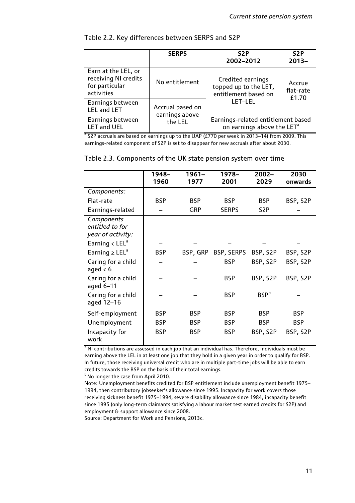|                                                                             | <b>SERPS</b>                       | S <sub>2</sub> P<br>2002-2012                                                                      | S <sub>2</sub> P<br>$2013 -$ |  |
|-----------------------------------------------------------------------------|------------------------------------|----------------------------------------------------------------------------------------------------|------------------------------|--|
| Earn at the LEL, or<br>receiving NI credits<br>for particular<br>activities | No entitlement                     | Credited earnings<br>Accrue<br>topped up to the LET,<br>flat-rate<br>entitlement based on<br>£1.70 |                              |  |
| Earnings between<br><b>LEL and LET</b>                                      | Accrual based on<br>earnings above | LET-LEL                                                                                            |                              |  |
| Earnings between<br>the LEL<br><b>LET and UEL</b>                           |                                    | Earnings-related entitlement based<br>on earnings above the LET <sup>a</sup>                       |                              |  |

### Table 2.2. Key differences between SERPS and S2P

 $a$  S2P accruals are based on earnings up to the UAP (£770 per week in 2013–14) from 2009. This earnings-related component of S2P is set to disappear for new accruals after about 2030.

|                                                    | 1948-      | $1961 -$   | 1978–        | $2002 -$         | 2030       |
|----------------------------------------------------|------------|------------|--------------|------------------|------------|
|                                                    | 1960       | 1977       | 2001         | 2029             | onwards    |
| Components:                                        |            |            |              |                  |            |
| Flat-rate                                          | <b>BSP</b> | <b>BSP</b> | <b>BSP</b>   | <b>BSP</b>       | BSP, S2P   |
| Earnings-related                                   |            | <b>GRP</b> | <b>SERPS</b> | S <sub>2</sub> P |            |
| Components<br>entitled to for<br>year of activity: |            |            |              |                  |            |
| Earning $\lt$ LEL <sup>a</sup>                     |            |            |              |                  |            |
| Earning $\geq$ LEL <sup>a</sup>                    | <b>BSP</b> | BSP, GRP   | BSP, SERPS   | BSP, S2P         | BSP, S2P   |
| Caring for a child<br>aged $< 6$                   |            |            | <b>BSP</b>   | BSP, S2P         | BSP, S2P   |
| Caring for a child<br>aged 6-11                    |            |            | <b>BSP</b>   | BSP, S2P         | BSP, S2P   |
| Caring for a child<br>aged 12-16                   |            |            | <b>BSP</b>   | <b>BSP</b> b     |            |
| Self-employment                                    | <b>BSP</b> | <b>BSP</b> | <b>BSP</b>   | <b>BSP</b>       | <b>BSP</b> |
| Unemployment                                       | <b>BSP</b> | <b>BSP</b> | <b>BSP</b>   | <b>BSP</b>       | <b>BSP</b> |
| Incapacity for<br>work                             | <b>BSP</b> | <b>BSP</b> | <b>BSP</b>   | BSP, S2P         | BSP, S2P   |

|  | Table 2.3. Components of the UK state pension system over time |  |  |  |  |  |
|--|----------------------------------------------------------------|--|--|--|--|--|
|--|----------------------------------------------------------------|--|--|--|--|--|

<sup>a</sup> NI contributions are assessed in each job that an individual has. Therefore, individuals must be earning above the LEL in at least one job that they hold in a given year in order to qualify for BSP. In future, those receiving universal credit who are in multiple part-time jobs will be able to earn credits towards the BSP on the basis of their total earnings.

**b** No longer the case from April 2010.

Note: Unemployment benefits credited for BSP entitlement include unemployment benefit 1975– 1994, then contributory jobseeker's allowance since 1995. Incapacity for work covers those receiving sickness benefit 1975–1994, severe disability allowance since 1984, incapacity benefit since 1995 (only long-term claimants satisfying a labour market test earned credits for S2P) and employment & support allowance since 2008.

Source: Department for Work and Pensions, 2013c.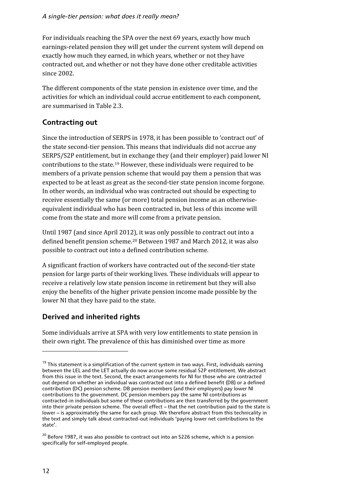For individuals reaching the SPA over the next 69 years, exactly how much earnings-related pension they will get under the current system will depend on exactly how much they earned, in which years, whether or not they have contracted out, and whether or not they have done other creditable activities since 2002.

The different components of the state pension in existence over time, and the activities for which an individual could accrue entitlement to each component, are summarised in Table 2.3.

### **Contracting out**

Since the introduction of SERPS in 1978, it has been possible to 'contract out' of the state second-tier pension. This means that individuals did not accrue any SERPS/S2P entitlement, but in exchange they (and their employer) paid lower NI contributions to the state.[19](#page-18-0) However, these individuals were required to be members of a private pension scheme that would pay them a pension that was expected to be at least as great as the second-tier state pension income forgone. In other words, an individual who was contracted out should be expecting to receive essentially the same (or more) total pension income as an otherwiseequivalent individual who has been contracted in, but less of this income will come from the state and more will come from a private pension.

Until 1987 (and since April 2012), it was only possible to contract out into a defined benefit pension scheme.[20](#page-18-1) Between 1987 and March 2012, it was also possible to contract out into a defined contribution scheme.

A significant fraction of workers have contracted out of the second-tier state pension for large parts of their working lives. These individuals will appear to receive a relatively low state pension income in retirement but they will also enjoy the benefits of the higher private pension income made possible by the lower NI that they have paid to the state.

### **Derived and inherited rights**

Some individuals arrive at SPA with very low entitlements to state pension in their own right. The prevalence of this has diminished over time as more

 $\overline{a}$ 

<span id="page-18-0"></span> $19$  This statement is a simplification of the current system in two ways. First, individuals earning between the LEL and the LET actually do now accrue some residual S2P entitlement. We abstract from this issue in the text. Second, the exact arrangements for NI for those who are contracted out depend on whether an individual was contracted out into a defined benefit (DB) or a defined contribution (DC) pension scheme. DB pension members (and their employers) pay lower NI contributions to the government. DC pension members pay the same NI contributions as contracted-in individuals but some of these contributions are then transferred by the government into their private pension scheme. The overall effect – that the net contribution paid to the state is lower – is approximately the same for each group. We therefore abstract from this technicality in the text and simply talk about contracted-out individuals 'paying lower net contributions to the state'.

<span id="page-18-1"></span> $20$  Before 1987, it was also possible to contract out into an S226 scheme, which is a pension specifically for self-employed people.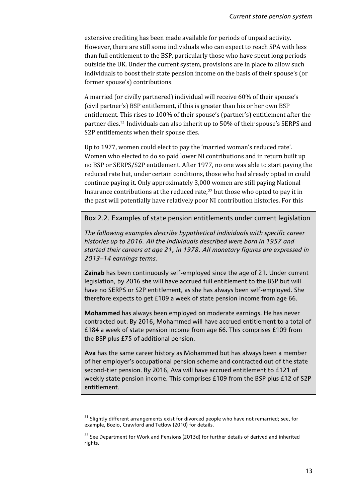extensive crediting has been made available for periods of unpaid activity. However, there are still some individuals who can expect to reach SPA with less than full entitlement to the BSP, particularly those who have spent long periods outside the UK. Under the current system, provisions are in place to allow such individuals to boost their state pension income on the basis of their spouse's (or former spouse's) contributions.

A married (or civilly partnered) individual will receive 60% of their spouse's (civil partner's) BSP entitlement, if this is greater than his or her own BSP entitlement. This rises to 100% of their spouse's (partner's) entitlement after the partner dies.[21](#page-19-0) Individuals can also inherit up to 50% of their spouse's SERPS and S2P entitlements when their spouse dies.

Up to 1977, women could elect to pay the 'married woman's reduced rate'. Women who elected to do so paid lower NI contributions and in return built up no BSP or SERPS/S2P entitlement. After 1977, no one was able to start paying the reduced rate but, under certain conditions, those who had already opted in could continue paying it. Only approximately 3,000 women are still paying National Insurance contributions at the reduced rate,[22](#page-19-1) but those who opted to pay it in the past will potentially have relatively poor NI contribution histories. For this

Box 2.2. Examples of state pension entitlements under current legislation

*The following examples describe hypothetical individuals with specific career histories up to 2016. All the individuals described were born in 1957 and started their careers at age 21, in 1978. All monetary figures are expressed in 2013–14 earnings terms.*

**Zainab** has been continuously self-employed since the age of 21. Under current legislation, by 2016 she will have accrued full entitlement to the BSP but will have no SERPS or S2P entitlement, as she has always been self-employed. She therefore expects to get £109 a week of state pension income from age 66.

**Mohammed** has always been employed on moderate earnings. He has never contracted out. By 2016, Mohammed will have accrued entitlement to a total of £184 a week of state pension income from age 66. This comprises £109 from the BSP plus £75 of additional pension.

**Ava** has the same career history as Mohammed but has always been a member of her employer's occupational pension scheme and contracted out of the state second-tier pension. By 2016, Ava will have accrued entitlement to £121 of weekly state pension income. This comprises £109 from the BSP plus £12 of S2P entitlement.

<span id="page-19-0"></span><sup>&</sup>lt;sup>21</sup> Slightly different arrangements exist for divorced people who have not remarried; see, for example, Bozio, Crawford and Tetlow (2010) for details.

<span id="page-19-1"></span><sup>&</sup>lt;sup>22</sup> See Department for Work and Pensions (2013d) for further details of derived and inherited rights.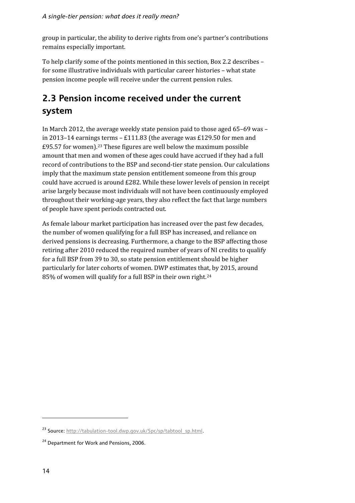<span id="page-20-0"></span>group in particular, the ability to derive rights from one's partner's contributions remains especially important.

To help clarify some of the points mentioned in this section, Box 2.2 describes – for some illustrative individuals with particular career histories – what state pension income people will receive under the current pension rules.

## **2.3 Pension income received under the current system**

In March 2012, the average weekly state pension paid to those aged 65–69 was – in 2013–14 earnings terms – £111.83 (the average was £129.50 for men and £95.57 for women).[23](#page-20-1) These figures are well below the maximum possible amount that men and women of these ages could have accrued if they had a full record of contributions to the BSP and second-tier state pension. Our calculations imply that the maximum state pension entitlement someone from this group could have accrued is around £282. While these lower levels of pension in receipt arise largely because most individuals will not have been continuously employed throughout their working-age years, they also reflect the fact that large numbers of people have spent periods contracted out.

As female labour market participation has increased over the past few decades, the number of women qualifying for a full BSP has increased, and reliance on derived pensions is decreasing. Furthermore, a change to the BSP affecting those retiring after 2010 reduced the required number of years of NI credits to qualify for a full BSP from 39 to 30, so state pension entitlement should be higher particularly for later cohorts of women. DWP estimates that, by 2015, around 85% of women will qualify for a full BSP in their own right.[24](#page-20-2)

<span id="page-20-1"></span><sup>&</sup>lt;sup>23</sup> Source[: http://tabulation-tool.dwp.gov.uk/5pc/sp/tabtool\\_sp.html.](http://tabulation-tool.dwp.gov.uk/5pc/sp/tabtool_sp.html)

<span id="page-20-2"></span><sup>&</sup>lt;sup>24</sup> Department for Work and Pensions, 2006.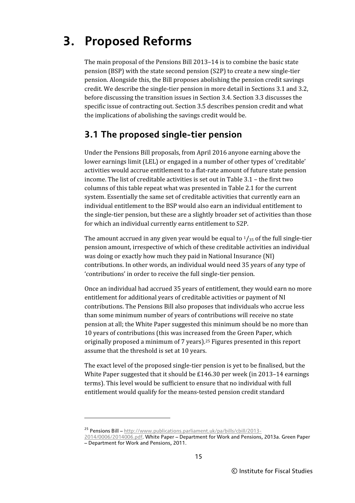## <span id="page-21-0"></span>**3. Proposed Reforms**

The main proposal of the Pensions Bill 2013–14 is to combine the basic state pension (BSP) with the state second pension (S2P) to create a new single-tier pension. Alongside this, the Bill proposes abolishing the pension credit savings credit. We describe the single-tier pension in more detail in Sections 3.1 and 3.2, before discussing the transition issues in Section 3.4. Section 3.3 discusses the specific issue of contracting out. Section 3.5 describes pension credit and what the implications of abolishing the savings credit would be.

## <span id="page-21-1"></span>**3.1 The proposed single-tier pension**

Under the Pensions Bill proposals, from April 2016 anyone earning above the lower earnings limit (LEL) or engaged in a number of other types of 'creditable' activities would accrue entitlement to a flat-rate amount of future state pension income. The list of creditable activities is set out in Table 3.1 – the first two columns of this table repeat what was presented in Table 2.1 for the current system. Essentially the same set of creditable activities that currently earn an individual entitlement to the BSP would also earn an individual entitlement to the single-tier pension, but these are a slightly broader set of activities than those for which an individual currently earns entitlement to S2P.

The amount accrued in any given year would be equal to  $\frac{1}{35}$  of the full single-tier pension amount, irrespective of which of these creditable activities an individual was doing or exactly how much they paid in National Insurance (NI) contributions. In other words, an individual would need 35 years of any type of 'contributions' in order to receive the full single-tier pension.

Once an individual had accrued 35 years of entitlement, they would earn no more entitlement for additional years of creditable activities or payment of NI contributions. The Pensions Bill also proposes that individuals who accrue less than some minimum number of years of contributions will receive no state pension at all; the White Paper suggested this minimum should be no more than 10 years of contributions (this was increased from the Green Paper, which originally proposed a minimum of 7 years).[25](#page-21-2) Figures presented in this report assume that the threshold is set at 10 years.

The exact level of the proposed single-tier pension is yet to be finalised, but the White Paper suggested that it should be £146.30 per week (in 2013–14 earnings terms). This level would be sufficient to ensure that no individual with full entitlement would qualify for the means-tested pension credit standard

 $\overline{a}$ 

<span id="page-21-2"></span><sup>&</sup>lt;sup>25</sup> Pensions Bill – [http://www.publications.parliament.uk/pa/bills/cbill/2013-](http://www.publications.parliament.uk/pa/bills/cbill/2013-2014/0006/2014006.pdf)

[<sup>2014/0006/2014006.</sup>pdf.](http://www.publications.parliament.uk/pa/bills/cbill/2013-2014/0006/2014006.pdf) White Paper – Department for Work and Pensions, 2013a. Green Paper – Department for Work and Pensions, 2011.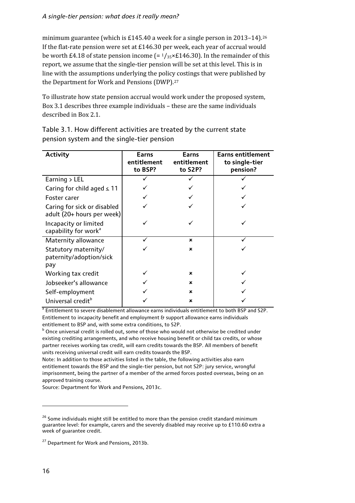### *A single-tier pension: what does it really mean?*

minimum guarantee (which is £145.40 a week for a single person in 2013–14).<sup>[26](#page-22-0)</sup> If the flat-rate pension were set at £146.30 per week, each year of accrual would be worth £4.18 of state pension income  $(= 1/35 \times £146.30)$ . In the remainder of this report, we assume that the single-tier pension will be set at this level. This is in line with the assumptions underlying the policy costings that were published by the Department for Work and Pensions (DWP).[27](#page-22-1)

To illustrate how state pension accrual would work under the proposed system, Box 3.1 describes three example individuals – these are the same individuals described in Box 2.1.

| <b>Activity</b>                                           | Earns<br>entitlement<br>to BSP? | Earns<br>entitlement<br>to S2P? | <b>Earns entitlement</b><br>to single-tier<br>pension? |
|-----------------------------------------------------------|---------------------------------|---------------------------------|--------------------------------------------------------|
| Earning $>$ LEL                                           |                                 |                                 |                                                        |
| Caring for child aged $\leq$ 11                           |                                 |                                 |                                                        |
| Foster carer                                              |                                 |                                 |                                                        |
| Caring for sick or disabled<br>adult (20+ hours per week) |                                 |                                 |                                                        |
| Incapacity or limited<br>capability for work <sup>a</sup> |                                 |                                 |                                                        |
| Maternity allowance                                       |                                 | ×                               |                                                        |
| Statutory maternity/<br>paternity/adoption/sick<br>pay    |                                 | ×                               |                                                        |
| Working tax credit                                        |                                 | ×                               |                                                        |
| Jobseeker's allowance                                     |                                 | ×                               |                                                        |
| Self-employment                                           |                                 | ×                               |                                                        |
| Universal credit <sup>b</sup>                             |                                 | ×                               |                                                        |

Table 3.1. How different activities are treated by the current state pension system and the single-tier pension

<sup>a</sup> Entitlement to severe disablement allowance earns individuals entitlement to both BSP and S2P. Entitlement to incapacity benefit and employment & support allowance earns individuals entitlement to BSP and, with some extra conditions, to S2P.

 $b$  Once universal credit is rolled out, some of those who would not otherwise be credited under existing crediting arrangements, and who receive housing benefit or child tax credits, or whose partner receives working tax credit, will earn credits towards the BSP. All members of benefit units receiving universal credit will earn credits towards the BSP.

Note: In addition to those activities listed in the table, the following activities also earn entitlement towards the BSP and the single-tier pension, but not S2P: jury service, wrongful imprisonment, being the partner of a member of the armed forces posted overseas, being on an approved training course.

Source: Department for Work and Pensions, 2013c.

<span id="page-22-0"></span> $26$  Some individuals might still be entitled to more than the pension credit standard minimum guarantee level: for example, carers and the severely disabled may receive up to £110.60 extra a week of guarantee credit.

<span id="page-22-1"></span><sup>&</sup>lt;sup>27</sup> Department for Work and Pensions, 2013b.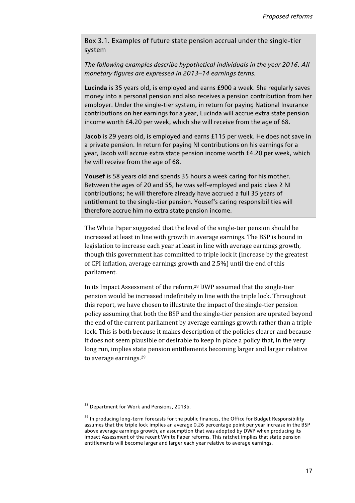Box 3.1. Examples of future state pension accrual under the single-tier system

*The following examples describe hypothetical individuals in the year 2016. All monetary figures are expressed in 2013–14 earnings terms.*

**Lucinda** is 35 years old, is employed and earns £900 a week. She regularly saves money into a personal pension and also receives a pension contribution from her employer. Under the single-tier system, in return for paying National Insurance contributions on her earnings for a year, Lucinda will accrue extra state pension income worth £4.20 per week, which she will receive from the age of 68.

**Jacob** is 29 years old, is employed and earns £115 per week. He does not save in a private pension. In return for paying NI contributions on his earnings for a year, Jacob will accrue extra state pension income worth £4.20 per week, which he will receive from the age of 68.

**Yousef** is 58 years old and spends 35 hours a week caring for his mother. Between the ages of 20 and 55, he was self-employed and paid class 2 NI contributions; he will therefore already have accrued a full 35 years of entitlement to the single-tier pension. Yousef's caring responsibilities will therefore accrue him no extra state pension income.

The White Paper suggested that the level of the single-tier pension should be increased at least in line with growth in average earnings. The BSP is bound in legislation to increase each year at least in line with average earnings growth, though this government has committed to triple lock it (increase by the greatest of CPI inflation, average earnings growth and 2.5%) until the end of this parliament.

In its Impact Assessment of the reform,[28](#page-23-0) DWP assumed that the single-tier pension would be increased indefinitely in line with the triple lock. Throughout this report, we have chosen to illustrate the impact of the single-tier pension policy assuming that both the BSP and the single-tier pension are uprated beyond the end of the current parliament by average earnings growth rather than a triple lock. This is both because it makes description of the policies clearer and because it does not seem plausible or desirable to keep in place a policy that, in the very long run, implies state pension entitlements becoming larger and larger relative to average earnings.[29](#page-23-1)

<span id="page-23-0"></span><sup>&</sup>lt;sup>28</sup> Department for Work and Pensions, 2013b.

<span id="page-23-1"></span><sup>&</sup>lt;sup>29</sup> In producing long-term forecasts for the public finances, the Office for Budget Responsibility assumes that the triple lock implies an average 0.26 percentage point per year increase in the BSP above average earnings growth, an assumption that was adopted by DWP when producing its Impact Assessment of the recent White Paper reforms. This ratchet implies that state pension entitlements will become larger and larger each year relative to average earnings.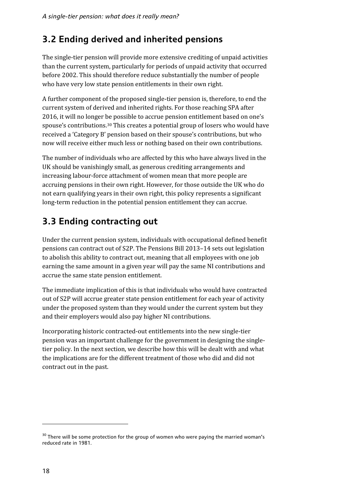## <span id="page-24-0"></span>**3.2 Ending derived and inherited pensions**

The single-tier pension will provide more extensive crediting of unpaid activities than the current system, particularly for periods of unpaid activity that occurred before 2002. This should therefore reduce substantially the number of people who have very low state pension entitlements in their own right.

A further component of the proposed single-tier pension is, therefore, to end the current system of derived and inherited rights. For those reaching SPA after 2016, it will no longer be possible to accrue pension entitlement based on one's spouse's contributions.[30](#page-24-3) This creates a potential group of losers who would have received a 'Category B' pension based on their spouse's contributions, but who now will receive either much less or nothing based on their own contributions.

The number of individuals who are affected by this who have always lived in the UK should be vanishingly small, as generous crediting arrangements and increasing labour-force attachment of women mean that more people are accruing pensions in their own right. However, for those outside the UK who do not earn qualifying years in their own right, this policy represents a significant long-term reduction in the potential pension entitlement they can accrue.

## <span id="page-24-1"></span>**3.3 Ending contracting out**

Under the current pension system, individuals with occupational defined benefit pensions can contract out of S2P. The Pensions Bill 2013–14 sets out legislation to abolish this ability to contract out, meaning that all employees with one job earning the same amount in a given year will pay the same NI contributions and accrue the same state pension entitlement.

The immediate implication of this is that individuals who would have contracted out of S2P will accrue greater state pension entitlement for each year of activity under the proposed system than they would under the current system but they and their employers would also pay higher NI contributions.

<span id="page-24-2"></span>Incorporating historic contracted-out entitlements into the new single-tier pension was an important challenge for the government in designing the singletier policy. In the next section, we describe how this will be dealt with and what the implications are for the different treatment of those who did and did not contract out in the past.

<span id="page-24-3"></span><sup>&</sup>lt;sup>30</sup> There will be some protection for the group of women who were paying the married woman's reduced rate in 1981.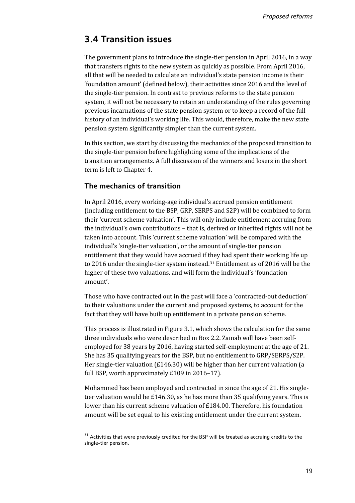## **3.4 Transition issues**

The government plans to introduce the single-tier pension in April 2016, in a way that transfers rights to the new system as quickly as possible. From April 2016, all that will be needed to calculate an individual's state pension income is their 'foundation amount' (defined below), their activities since 2016 and the level of the single-tier pension. In contrast to previous reforms to the state pension system, it will not be necessary to retain an understanding of the rules governing previous incarnations of the state pension system or to keep a record of the full history of an individual's working life. This would, therefore, make the new state pension system significantly simpler than the current system.

In this section, we start by discussing the mechanics of the proposed transition to the single-tier pension before highlighting some of the implications of the transition arrangements. A full discussion of the winners and losers in the short term is left to Chapter 4.

### **The mechanics of transition**

**.** 

In April 2016, every working-age individual's accrued pension entitlement (including entitlement to the BSP, GRP, SERPS and S2P) will be combined to form their 'current scheme valuation'. This will only include entitlement accruing from the individual's own contributions – that is, derived or inherited rights will not be taken into account. This 'current scheme valuation' will be compared with the individual's 'single-tier valuation', or the amount of single-tier pension entitlement that they would have accrued if they had spent their working life up to 2016 under the single-tier system instead.[31](#page-25-0) Entitlement as of 2016 will be the higher of these two valuations, and will form the individual's 'foundation amount'.

Those who have contracted out in the past will face a 'contracted-out deduction' to their valuations under the current and proposed systems, to account for the fact that they will have built up entitlement in a private pension scheme.

This process is illustrated in Figure 3.1, which shows the calculation for the same three individuals who were described in Box 2.2. Zainab will have been selfemployed for 38 years by 2016, having started self-employment at the age of 21. She has 35 qualifying years for the BSP, but no entitlement to GRP/SERPS/S2P. Her single-tier valuation (£146.30) will be higher than her current valuation (a full BSP, worth approximately £109 in 2016–17).

Mohammed has been employed and contracted in since the age of 21. His singletier valuation would be £146.30, as he has more than 35 qualifying years. This is lower than his current scheme valuation of £184.00. Therefore, his foundation amount will be set equal to his existing entitlement under the current system.

<span id="page-25-0"></span><sup>&</sup>lt;sup>31</sup> Activities that were previously credited for the BSP will be treated as accruing credits to the single-tier pension.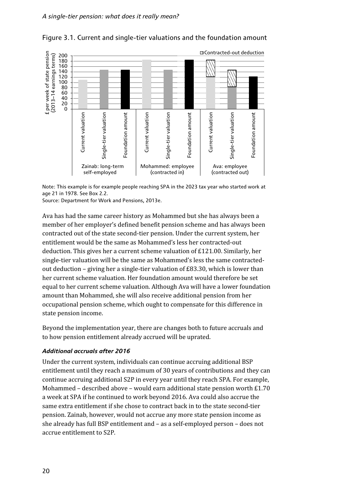

### Figure 3.1. Current and single-tier valuations and the foundation amount

Note: This example is for example people reaching SPA in the 2023 tax year who started work at age 21 in 1978. See Box 2.2.

Source: Department for Work and Pensions, 2013e.

Ava has had the same career history as Mohammed but she has always been a member of her employer's defined benefit pension scheme and has always been contracted out of the state second-tier pension. Under the current system, her entitlement would be the same as Mohammed's less her contracted-out deduction. This gives her a current scheme valuation of £121.00. Similarly, her single-tier valuation will be the same as Mohammed's less the same contractedout deduction – giving her a single-tier valuation of  $E83.30$ , which is lower than her current scheme valuation. Her foundation amount would therefore be set equal to her current scheme valuation. Although Ava will have a lower foundation amount than Mohammed, she will also receive additional pension from her occupational pension scheme, which ought to compensate for this difference in state pension income.

Beyond the implementation year, there are changes both to future accruals and to how pension entitlement already accrued will be uprated.

### *Additional accruals after 2016*

Under the current system, individuals can continue accruing additional BSP entitlement until they reach a maximum of 30 years of contributions and they can continue accruing additional S2P in every year until they reach SPA. For example, Mohammed – described above – would earn additional state pension worth £1.70 a week at SPA if he continued to work beyond 2016. Ava could also accrue the same extra entitlement if she chose to contract back in to the state second-tier pension. Zainab, however, would not accrue any more state pension income as she already has full BSP entitlement and – as a self-employed person – does not accrue entitlement to S2P.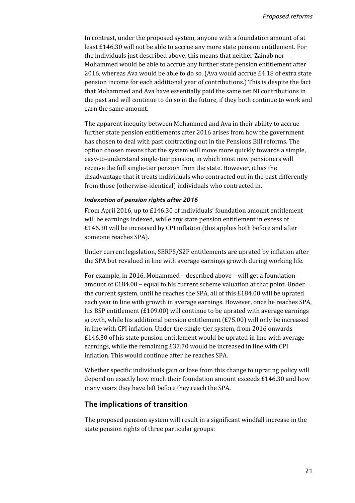In contrast, under the proposed system, anyone with a foundation amount of at least £146.30 will not be able to accrue any more state pension entitlement. For the individuals just described above, this means that neither Zainab nor Mohammed would be able to accrue any further state pension entitlement after 2016, whereas Ava would be able to do so. (Ava would accrue £4.18 of extra state pension income for each additional year of contributions.) This is despite the fact that Mohammed and Ava have essentially paid the same net NI contributions in the past and will continue to do so in the future, if they both continue to work and earn the same amount.

The apparent inequity between Mohammed and Ava in their ability to accrue further state pension entitlements after 2016 arises from how the government has chosen to deal with past contracting out in the Pensions Bill reforms. The option chosen means that the system will move more quickly towards a simple, easy-to-understand single-tier pension, in which most new pensioners will receive the full single-tier pension from the state. However, it has the disadvantage that it treats individuals who contracted out in the past differently from those (otherwise-identical) individuals who contracted in.

#### *Indexation of pension rights after 2016*

From April 2016, up to £146.30 of individuals' foundation amount entitlement will be earnings indexed, while any state pension entitlement in excess of £146.30 will be increased by CPI inflation (this applies both before and after someone reaches SPA).

Under current legislation, SERPS/S2P entitlements are uprated by inflation after the SPA but revalued in line with average earnings growth during working life.

For example, in 2016, Mohammed – described above – will get a foundation amount of £184.00 – equal to his current scheme valuation at that point. Under the current system, until he reaches the SPA, all of this £184.00 will be uprated each year in line with growth in average earnings. However, once he reaches SPA, his BSP entitlement (£109.00) will continue to be uprated with average earnings growth, while his additional pension entitlement (£75.00) will only be increased in line with CPI inflation. Under the single-tier system, from 2016 onwards £146.30 of his state pension entitlement would be uprated in line with average earnings, while the remaining £37.70 would be increased in line with CPI inflation. This would continue after he reaches SPA.

Whether specific individuals gain or lose from this change to uprating policy will depend on exactly how much their foundation amount exceeds £146.30 and how many years they have left before they reach the SPA.

#### **The implications of transition**

The proposed pension system will result in a significant windfall increase in the state pension rights of three particular groups: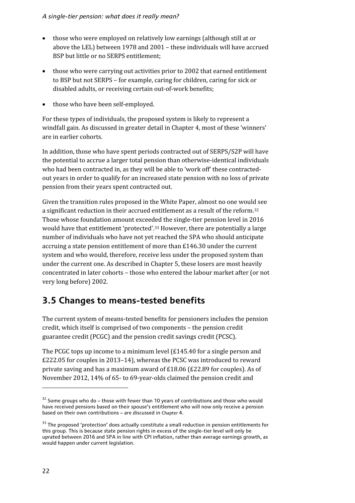- those who were employed on relatively low earnings (although still at or above the LEL) between 1978 and 2001 – these individuals will have accrued BSP but little or no SERPS entitlement;
- those who were carrying out activities prior to 2002 that earned entitlement to BSP but not SERPS – for example, caring for children, caring for sick or disabled adults, or receiving certain out-of-work benefits;
- those who have been self-employed.

For these types of individuals, the proposed system is likely to represent a windfall gain. As discussed in greater detail in Chapter 4, most of these 'winners' are in earlier cohorts.

In addition, those who have spent periods contracted out of SERPS/S2P will have the potential to accrue a larger total pension than otherwise-identical individuals who had been contracted in, as they will be able to 'work off' these contractedout years in order to qualify for an increased state pension with no loss of private pension from their years spent contracted out.

Given the transition rules proposed in the White Paper, almost no one would see a significant reduction in their accrued entitlement as a result of the reform[.32](#page-28-1) Those whose foundation amount exceeded the single-tier pension level in 2016 would have that entitlement 'protected'.[33](#page-28-2) However, there are potentially a large number of individuals who have not yet reached the SPA who should anticipate accruing a state pension entitlement of more than £146.30 under the current system and who would, therefore, receive less under the proposed system than under the current one. As described in Chapter 5, these losers are most heavily concentrated in later cohorts – those who entered the labour market after (or not very long before) 2002.

## <span id="page-28-0"></span>**3.5 Changes to means-tested benefits**

The current system of means-tested benefits for pensioners includes the pension credit, which itself is comprised of two components – the pension credit guarantee credit (PCGC) and the pension credit savings credit (PCSC).

The PCGC tops up income to a minimum level (£145.40 for a single person and £222.05 for couples in 2013–14), whereas the PCSC was introduced to reward private saving and has a maximum award of £18.06 (£22.89 for couples). As of November 2012, 14% of 65- to 69-year-olds claimed the pension credit and

<span id="page-28-1"></span> $32$  Some groups who do – those with fewer than 10 years of contributions and those who would have received pensions based on their spouse's entitlement who will now only receive a pension based on their own contributions – are discussed in Chapter 4.

<span id="page-28-2"></span><sup>&</sup>lt;sup>33</sup> The proposed 'protection' does actually constitute a small reduction in pension entitlements for this group. This is because state pension rights in excess of the single-tier level will only be uprated between 2016 and SPA in line with CPI inflation, rather than average earnings growth, as would happen under current legislation.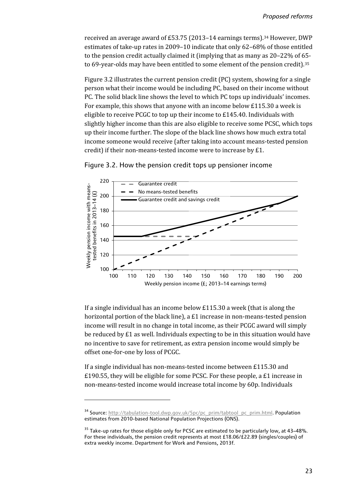received an average award of £53.75 (2013–14 earnings terms).[34](#page-29-0) However, DWP estimates of take-up rates in 2009–10 indicate that only 62–68% of those entitled to the pension credit actually claimed it (implying that as many as 20–22% of 65 to 69-year-olds may have been entitled to some element of the pension credit).[35](#page-29-1)

Figure 3.2 illustrates the current pension credit (PC) system, showing for a single person what their income would be including PC, based on their income without PC. The solid black line shows the level to which PC tops up individuals' incomes. For example, this shows that anyone with an income below £115.30 a week is eligible to receive PCGC to top up their income to £145.40. Individuals with slightly higher income than this are also eligible to receive some PCSC, which tops up their income further. The slope of the black line shows how much extra total income someone would receive (after taking into account means-tested pension credit) if their non-means-tested income were to increase by £1.



#### Figure 3.2. How the pension credit tops up pensioner income

If a single individual has an income below £115.30 a week (that is along the horizontal portion of the black line), a £1 increase in non-means-tested pension income will result in no change in total income, as their PCGC award will simply be reduced by £1 as well. Individuals expecting to be in this situation would have no incentive to save for retirement, as extra pension income would simply be offset one-for-one by loss of PCGC.

If a single individual has non-means-tested income between £115.30 and £190.55, they will be eligible for some PCSC. For these people, a £1 increase in non-means-tested income would increase total income by 60p. Individuals

<u>.</u>

<span id="page-29-0"></span><sup>&</sup>lt;sup>34</sup> Source: http://tabulation-tool.dwp.gov.uk/5pc/pc\_prim/tabtool\_pc\_prim.html. Population estimates from 2010-based National Population Projections (ONS).

<span id="page-29-1"></span><sup>&</sup>lt;sup>35</sup> Take-up rates for those eligible only for PCSC are estimated to be particularly low, at 43–48%. For these individuals, the pension credit represents at most £18.06/£22.89 (singles/couples) of extra weekly income. Department for Work and Pensions, 2013f.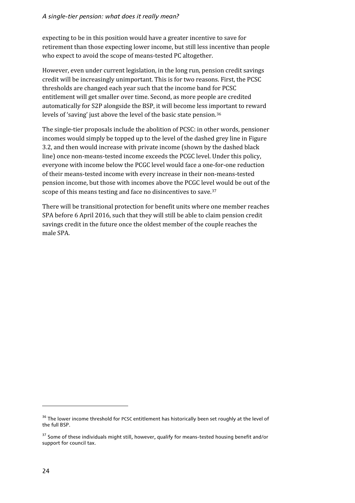#### *A single-tier pension: what does it really mean?*

expecting to be in this position would have a greater incentive to save for retirement than those expecting lower income, but still less incentive than people who expect to avoid the scope of means-tested PC altogether.

However, even under current legislation, in the long run, pension credit savings credit will be increasingly unimportant. This is for two reasons. First, the PCSC thresholds are changed each year such that the income band for PCSC entitlement will get smaller over time. Second, as more people are credited automatically for S2P alongside the BSP, it will become less important to reward levels of 'saving' just above the level of the basic state pension.[36](#page-30-0)

The single-tier proposals include the abolition of PCSC: in other words, pensioner incomes would simply be topped up to the level of the dashed grey line in Figure 3.2, and then would increase with private income (shown by the dashed black line) once non-means-tested income exceeds the PCGC level. Under this policy, everyone with income below the PCGC level would face a one-for-one reduction of their means-tested income with every increase in their non-means-tested pension income, but those with incomes above the PCGC level would be out of the scope of this means testing and face no disincentives to save.<sup>[37](#page-30-1)</sup>

There will be transitional protection for benefit units where one member reaches SPA before 6 April 2016, such that they will still be able to claim pension credit savings credit in the future once the oldest member of the couple reaches the male SPA.

<span id="page-30-0"></span><sup>&</sup>lt;sup>36</sup> The lower income threshold for PCSC entitlement has historically been set roughly at the level of the full BSP.

<span id="page-30-1"></span><sup>&</sup>lt;sup>37</sup> Some of these individuals might still, however, qualify for means-tested housing benefit and/or support for council tax.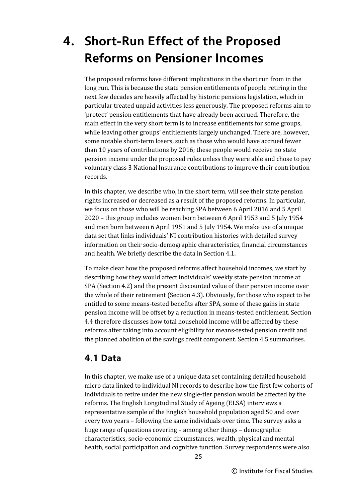## <span id="page-31-0"></span>**4. Short-Run Effect of the Proposed Reforms on Pensioner Incomes**

The proposed reforms have different implications in the short run from in the long run. This is because the state pension entitlements of people retiring in the next few decades are heavily affected by historic pensions legislation, which in particular treated unpaid activities less generously. The proposed reforms aim to 'protect' pension entitlements that have already been accrued. Therefore, the main effect in the very short term is to increase entitlements for some groups, while leaving other groups' entitlements largely unchanged. There are, however, some notable short-term losers, such as those who would have accrued fewer than 10 years of contributions by 2016; these people would receive no state pension income under the proposed rules unless they were able and chose to pay voluntary class 3 National Insurance contributions to improve their contribution records.

In this chapter, we describe who, in the short term, will see their state pension rights increased or decreased as a result of the proposed reforms. In particular, we focus on those who will be reaching SPA between 6 April 2016 and 5 April 2020 – this group includes women born between 6 April 1953 and 5 July 1954 and men born between 6 April 1951 and 5 July 1954. We make use of a unique data set that links individuals' NI contribution histories with detailed survey information on their socio-demographic characteristics, financial circumstances and health. We briefly describe the data in Section 4.1.

To make clear how the proposed reforms affect household incomes, we start by describing how they would affect individuals' weekly state pension income at SPA (Section 4.2) and the present discounted value of their pension income over the whole of their retirement (Section 4.3). Obviously, for those who expect to be entitled to some means-tested benefits after SPA, some of these gains in state pension income will be offset by a reduction in means-tested entitlement. Section 4.4 therefore discusses how total household income will be affected by these reforms after taking into account eligibility for means-tested pension credit and the planned abolition of the savings credit component. Section 4.5 summarises.

## <span id="page-31-1"></span>**4.1 Data**

In this chapter, we make use of a unique data set containing detailed household micro data linked to individual NI records to describe how the first few cohorts of individuals to retire under the new single-tier pension would be affected by the reforms. The English Longitudinal Study of Ageing (ELSA) interviews a representative sample of the English household population aged 50 and over every two years – following the same individuals over time. The survey asks a huge range of questions covering – among other things – demographic characteristics, socio-economic circumstances, wealth, physical and mental health, social participation and cognitive function. Survey respondents were also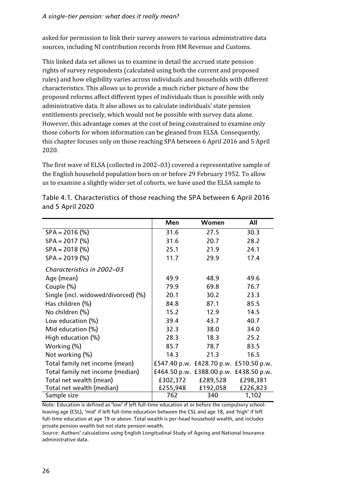asked for permission to link their survey answers to various administrative data sources, including NI contribution records from HM Revenue and Customs.

This linked data set allows us to examine in detail the accrued state pension rights of survey respondents (calculated using both the current and proposed rules) and how eligibility varies across individuals and households with different characteristics. This allows us to provide a much richer picture of how the proposed reforms affect different types of individuals than is possible with only administrative data. It also allows us to calculate individuals' state pension entitlements precisely, which would not be possible with survey data alone. However, this advantage comes at the cost of being constrained to examine only those cohorts for whom information can be gleaned from ELSA. Consequently, this chapter focuses only on those reaching SPA between 6 April 2016 and 5 April 2020.

The first wave of ELSA (collected in 2002–03) covered a representative sample of the English household population born on or before 29 February 1952. To allow us to examine a slightly wider set of cohorts, we have used the ELSA sample to

|                                     | Men      | Women                                  | All      |
|-------------------------------------|----------|----------------------------------------|----------|
| $SPA = 2016$ (%)                    | 31.6     | 27.5                                   | 30.3     |
| $SPA = 2017$ (%)                    | 31.6     | 20.7                                   | 28.2     |
| $SPA = 2018$ (%)                    | 25.1     | 21.9                                   | 24.1     |
| $SPA = 2019$ (%)                    | 11.7     | 29.9                                   | 17.4     |
| Characteristics in 2002–03          |          |                                        |          |
| Age (mean)                          | 49.9     | 48.9                                   | 49.6     |
| Couple (%)                          | 79.9     | 69.8                                   | 76.7     |
| Single (incl. widowed/divorced) (%) | 20.1     | 30.2                                   | 23.3     |
| Has children (%)                    | 84.8     | 87.1                                   | 85.5     |
| No children (%)                     | 15.2     | 12.9                                   | 14.5     |
| Low education (%)                   | 39.4     | 43.7                                   | 40.7     |
| Mid education (%)                   | 32.3     | 38.0                                   | 34.0     |
| High education (%)                  | 28.3     | 18.3                                   | 25.2     |
| Working (%)                         | 85.7     | 78.7                                   | 83.5     |
| Not working (%)                     | 14.3     | 21.3                                   | 16.5     |
| Total family net income (mean)      |          | £547.40 p.w. £428.70 p.w. £510.50 p.w. |          |
| Total family net income (median)    |          | £464.50 p.w. £388.00 p.w. £438.50 p.w. |          |
| Total net wealth (mean)             | £302,372 | £289,528                               | £298,381 |
| Total net wealth (median)           | £255,948 | £192,058                               | £226,823 |
| Sample size                         | 762      | 340                                    | 1,102    |

Table 4.1. Characteristics of those reaching the SPA between 6 April 2016 and 5 April 2020

Note: Education is defined as 'low' if left full-time education at or before the compulsory schoolleaving age (CSL), 'mid' if left full-time education between the CSL and age 18, and 'high' if left full-time education at age 19 or above. Total wealth is per-head household wealth, and includes private pension wealth but not state pension wealth.

Source: Authors' calculations using English Longitudinal Study of Ageing and National Insurance administrative data.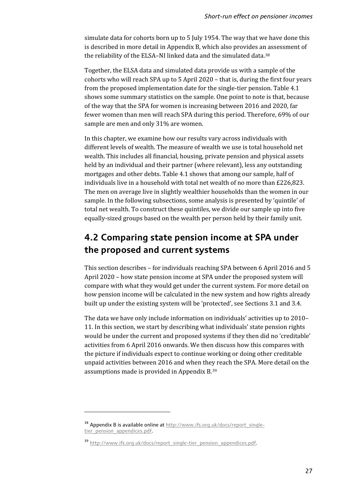simulate data for cohorts born up to 5 July 1954. The way that we have done this is described in more detail in Appendix B, which also provides an assessment of the reliability of the ELSA–NI linked data and the simulated data.[38](#page-33-1)

Together, the ELSA data and simulated data provide us with a sample of the cohorts who will reach SPA up to 5 April 2020 – that is, during the first four years from the proposed implementation date for the single-tier pension. Table 4.1 shows some summary statistics on the sample. One point to note is that, because of the way that the SPA for women is increasing between 2016 and 2020, far fewer women than men will reach SPA during this period. Therefore, 69% of our sample are men and only 31% are women.

In this chapter, we examine how our results vary across individuals with different levels of wealth. The measure of wealth we use is total household net wealth. This includes all financial, housing, private pension and physical assets held by an individual and their partner (where relevant), less any outstanding mortgages and other debts. Table 4.1 shows that among our sample, half of individuals live in a household with total net wealth of no more than £226,823. The men on average live in slightly wealthier households than the women in our sample. In the following subsections, some analysis is presented by 'quintile' of total net wealth. To construct these quintiles, we divide our sample up into five equally-sized groups based on the wealth per person held by their family unit.

## <span id="page-33-0"></span>**4.2 Comparing state pension income at SPA under the proposed and current systems**

This section describes – for individuals reaching SPA between 6 April 2016 and 5 April 2020 – how state pension income at SPA under the proposed system will compare with what they would get under the current system. For more detail on how pension income will be calculated in the new system and how rights already built up under the existing system will be 'protected', see Sections 3.1 and 3.4.

The data we have only include information on individuals' activities up to 2010– 11. In this section, we start by describing what individuals' state pension rights would be under the current and proposed systems if they then did no 'creditable' activities from 6 April 2016 onwards. We then discuss how this compares with the picture if individuals expect to continue working or doing other creditable unpaid activities between 2016 and when they reach the SPA. More detail on the assumptions made is provided in Appendix B.[39](#page-33-2)

<u>.</u>

<span id="page-33-1"></span><sup>38</sup> Appendix B is available online at http://www.ifs.org.uk/docs/report\_singletier\_pension\_appendices.pdf.

<span id="page-33-2"></span><sup>&</sup>lt;sup>39</sup> http://www.ifs.org.uk/docs/report\_single-tier\_pension\_appendices.pdf.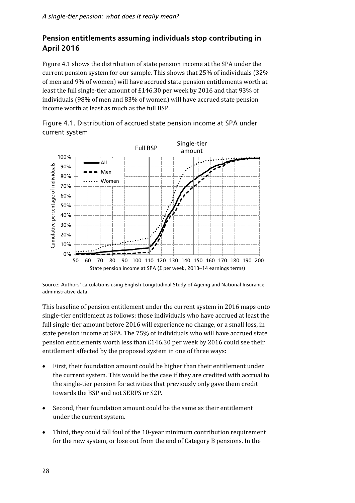## **Pension entitlements assuming individuals stop contributing in April 2016**

Figure 4.1 shows the distribution of state pension income at the SPA under the current pension system for our sample. This shows that 25% of individuals (32% of men and 9% of women) will have accrued state pension entitlements worth at least the full single-tier amount of £146.30 per week by 2016 and that 93% of individuals (98% of men and 83% of women) will have accrued state pension income worth at least as much as the full BSP.

Figure 4.1. Distribution of accrued state pension income at SPA under current system



Source: Authors' calculations using English Longitudinal Study of Ageing and National Insurance administrative data.

This baseline of pension entitlement under the current system in 2016 maps onto single-tier entitlement as follows: those individuals who have accrued at least the full single-tier amount before 2016 will experience no change, or a small loss, in state pension income at SPA. The 75% of individuals who will have accrued state pension entitlements worth less than £146.30 per week by 2016 could see their entitlement affected by the proposed system in one of three ways:

- First, their foundation amount could be higher than their entitlement under the current system. This would be the case if they are credited with accrual to the single-tier pension for activities that previously only gave them credit towards the BSP and not SERPS or S2P.
- Second, their foundation amount could be the same as their entitlement under the current system.
- Third, they could fall foul of the 10-year minimum contribution requirement for the new system, or lose out from the end of Category B pensions. In the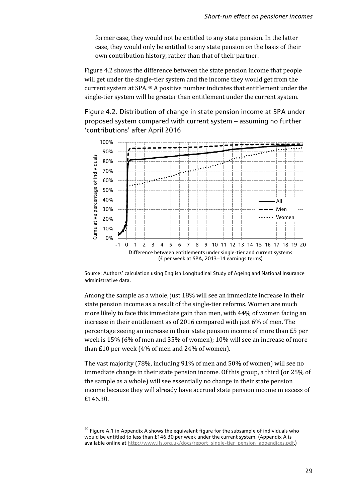former case, they would not be entitled to any state pension. In the latter case, they would only be entitled to any state pension on the basis of their own contribution history, rather than that of their partner.

Figure 4.2 shows the difference between the state pension income that people will get under the single-tier system and the income they would get from the current system at SPA.[40](#page-35-0) A positive number indicates that entitlement under the single-tier system will be greater than entitlement under the current system.

Figure 4.2. Distribution of change in state pension income at SPA under proposed system compared with current system – assuming no further 'contributions' after April 2016



Source: Authors' calculation using English Longitudinal Study of Ageing and National Insurance administrative data.

Among the sample as a whole, just 18% will see an immediate increase in their state pension income as a result of the single-tier reforms. Women are much more likely to face this immediate gain than men, with 44% of women facing an increase in their entitlement as of 2016 compared with just 6% of men. The percentage seeing an increase in their state pension income of more than £5 per week is 15% (6% of men and 35% of women); 10% will see an increase of more than £10 per week (4% of men and 24% of women).

The vast majority (78%, including 91% of men and 50% of women) will see no immediate change in their state pension income. Of this group, a third (or 25% of the sample as a whole) will see essentially no change in their state pension income because they will already have accrued state pension income in excess of £146.30.

 $\overline{a}$ 

<span id="page-35-0"></span> $40$  Figure A.1 in Appendix A shows the equivalent figure for the subsample of individuals who would be entitled to less than £146.30 per week under the current system. (Appendix A is available online at http://www.ifs.org.uk/docs/report\_single-tier\_pension\_appendices.pdf.)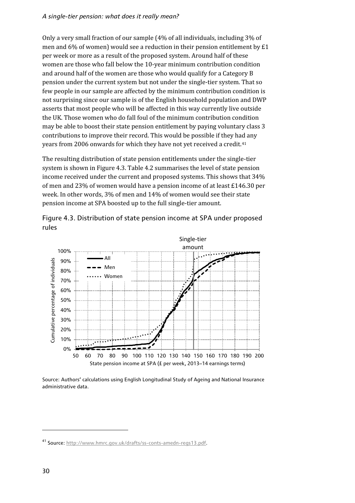Only a very small fraction of our sample (4% of all individuals, including 3% of men and 6% of women) would see a reduction in their pension entitlement by £1 per week or more as a result of the proposed system. Around half of these women are those who fall below the 10-year minimum contribution condition and around half of the women are those who would qualify for a Category B pension under the current system but not under the single-tier system. That so few people in our sample are affected by the minimum contribution condition is not surprising since our sample is of the English household population and DWP asserts that most people who will be affected in this way currently live outside the UK. Those women who do fall foul of the minimum contribution condition may be able to boost their state pension entitlement by paying voluntary class 3 contributions to improve their record. This would be possible if they had any years from 2006 onwards for which they have not yet received a credit.<sup>[41](#page-36-0)</sup>

The resulting distribution of state pension entitlements under the single-tier system is shown in Figure 4.3. Table 4.2 summarises the level of state pension income received under the current and proposed systems. This shows that 34% of men and 23% of women would have a pension income of at least £146.30 per week. In other words, 3% of men and 14% of women would see their state pension income at SPA boosted up to the full single-tier amount.



Figure 4.3. Distribution of state pension income at SPA under proposed rules

Source: Authors' calculations using English Longitudinal Study of Ageing and National Insurance administrative data.

**.** 

<span id="page-36-0"></span><sup>41</sup> Source[: http://www.hmrc.gov.uk/drafts/ss-conts-amedn-regs13.pdf.](http://www.hmrc.gov.uk/drafts/ss-conts-amedn-regs13.pdf)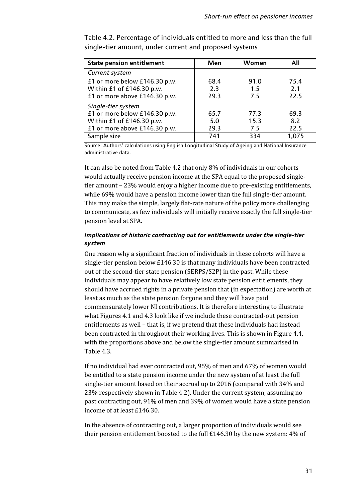| <b>State pension entitlement</b> | Men  | Women | All   |
|----------------------------------|------|-------|-------|
| Current system                   |      |       |       |
| £1 or more below £146.30 p.w.    | 68.4 | 91.0  | 75.4  |
| Within £1 of £146.30 p.w.        | 2.3  | 1.5   | 2.1   |
| £1 or more above £146.30 p.w.    | 29.3 | 7.5   | 22.5  |
| Single-tier system               |      |       |       |
| £1 or more below £146.30 p.w.    | 65.7 | 77.3  | 69.3  |
| Within £1 of £146.30 p.w.        | 5.0  | 15.3  | 8.2   |
| £1 or more above £146.30 p.w.    | 29.3 | 7.5   | 22.5  |
| Sample size                      | 741  | 334   | 1,075 |

Table 4.2. Percentage of individuals entitled to more and less than the full single-tier amount, under current and proposed systems

Source: Authors' calculations using English Longitudinal Study of Ageing and National Insurance administrative data.

It can also be noted from Table 4.2 that only 8% of individuals in our cohorts would actually receive pension income at the SPA equal to the proposed singletier amount – 23% would enjoy a higher income due to pre-existing entitlements, while 69% would have a pension income lower than the full single-tier amount. This may make the simple, largely flat-rate nature of the policy more challenging to communicate, as few individuals will initially receive exactly the full single-tier pension level at SPA.

### *Implications of historic contracting out for entitlements under the single-tier system*

One reason why a significant fraction of individuals in these cohorts will have a single-tier pension below £146.30 is that many individuals have been contracted out of the second-tier state pension (SERPS/S2P) in the past. While these individuals may appear to have relatively low state pension entitlements, they should have accrued rights in a private pension that (in expectation) are worth at least as much as the state pension forgone and they will have paid commensurately lower NI contributions. It is therefore interesting to illustrate what Figures 4.1 and 4.3 look like if we include these contracted-out pension entitlements as well – that is, if we pretend that these individuals had instead been contracted in throughout their working lives. This is shown in Figure 4.4, with the proportions above and below the single-tier amount summarised in Table 4.3.

If no individual had ever contracted out, 95% of men and 67% of women would be entitled to a state pension income under the new system of at least the full single-tier amount based on their accrual up to 2016 (compared with 34% and 23% respectively shown in Table 4.2). Under the current system, assuming no past contracting out, 91% of men and 39% of women would have a state pension income of at least £146.30.

In the absence of contracting out, a larger proportion of individuals would see their pension entitlement boosted to the full £146.30 by the new system: 4% of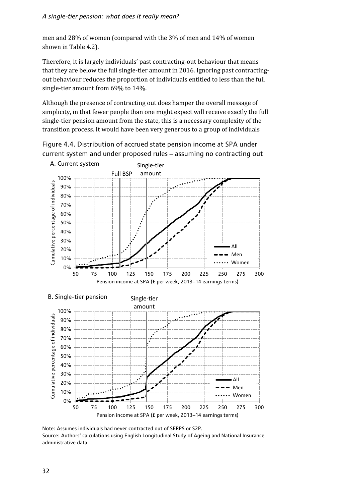men and 28% of women (compared with the 3% of men and 14% of women shown in Table 4.2).

Therefore, it is largely individuals' past contracting-out behaviour that means that they are below the full single-tier amount in 2016. Ignoring past contractingout behaviour reduces the proportion of individuals entitled to less than the full single-tier amount from 69% to 14%.

Although the presence of contracting out does hamper the overall message of simplicity, in that fewer people than one might expect will receive exactly the full single-tier pension amount from the state, this is a necessary complexity of the transition process. It would have been very generous to a group of individuals





Note: Assumes individuals had never contracted out of SERPS or S2P. Source: Authors' calculations using English Longitudinal Study of Ageing and National Insurance administrative data.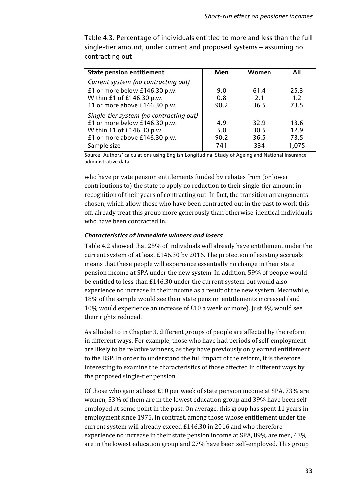| <b>State pension entitlement</b>        | Men  | Women | All   |
|-----------------------------------------|------|-------|-------|
| Current system (no contracting out)     |      |       |       |
| £1 or more below £146.30 p.w.           | 9.0  | 61.4  | 25.3  |
| Within £1 of £146.30 p.w.               | 0.8  | 2.1   | 1.2   |
| £1 or more above £146.30 p.w.           | 90.2 | 36.5  | 73.5  |
| Single-tier system (no contracting out) |      |       |       |
| £1 or more below £146.30 p.w.           | 4.9  | 32.9  | 13.6  |
| Within £1 of £146.30 p.w.               | 5.0  | 30.5  | 12.9  |
| £1 or more above £146.30 p.w.           | 90.2 | 36.5  | 73.5  |
| Sample size                             | 741  | 334   | 1,075 |

Table 4.3. Percentage of individuals entitled to more and less than the full single-tier amount, under current and proposed systems – assuming no contracting out

Source: Authors' calculations using English Longitudinal Study of Ageing and National Insurance administrative data.

who have private pension entitlements funded by rebates from (or lower contributions to) the state to apply no reduction to their single-tier amount in recognition of their years of contracting out. In fact, the transition arrangements chosen, which allow those who have been contracted out in the past to work this off, already treat this group more generously than otherwise-identical individuals who have been contracted in.

#### *Characteristics of immediate winners and losers*

Table 4.2 showed that 25% of individuals will already have entitlement under the current system of at least £146.30 by 2016. The protection of existing accruals means that these people will experience essentially no change in their state pension income at SPA under the new system. In addition, 59% of people would be entitled to less than £146.30 under the current system but would also experience no increase in their income as a result of the new system. Meanwhile, 18% of the sample would see their state pension entitlements increased (and 10% would experience an increase of £10 a week or more). Just 4% would see their rights reduced.

As alluded to in Chapter 3, different groups of people are affected by the reform in different ways. For example, those who have had periods of self-employment are likely to be relative winners, as they have previously only earned entitlement to the BSP. In order to understand the full impact of the reform, it is therefore interesting to examine the characteristics of those affected in different ways by the proposed single-tier pension.

Of those who gain at least £10 per week of state pension income at SPA, 73% are women, 53% of them are in the lowest education group and 39% have been selfemployed at some point in the past. On average, this group has spent 11 years in employment since 1975. In contrast, among those whose entitlement under the current system will already exceed £146.30 in 2016 and who therefore experience no increase in their state pension income at SPA, 89% are men, 43% are in the lowest education group and 27% have been self-employed. This group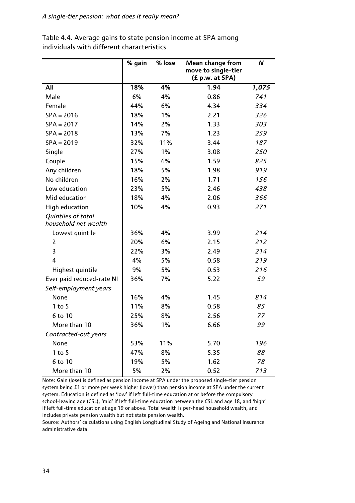|                                            | % gain | % lose | <b>Mean change from</b><br>move to single-tier<br>(£ p.w. at SPA) | N     |
|--------------------------------------------|--------|--------|-------------------------------------------------------------------|-------|
| All                                        | 18%    | 4%     | 1.94                                                              | 1,075 |
| Male                                       | 6%     | 4%     | 0.86                                                              | 741   |
| Female                                     | 44%    | 6%     | 4.34                                                              | 334   |
| $SPA = 2016$                               | 18%    | 1%     | 2.21                                                              | 326   |
| $SPA = 2017$                               | 14%    | 2%     | 1.33                                                              | 303   |
| $SPA = 2018$                               | 13%    | 7%     | 1.23                                                              | 259   |
| $SPA = 2019$                               | 32%    | 11%    | 3.44                                                              | 187   |
| Single                                     | 27%    | 1%     | 3.08                                                              | 250   |
| Couple                                     | 15%    | 6%     | 1.59                                                              | 825   |
| Any children                               | 18%    | 5%     | 1.98                                                              | 919   |
| No children                                | 16%    | 2%     | 1.71                                                              | 156   |
| Low education                              | 23%    | 5%     | 2.46                                                              | 438   |
| Mid education                              | 18%    | 4%     | 2.06                                                              | 366   |
| <b>High education</b>                      | 10%    | 4%     | 0.93                                                              | 271   |
| Quintiles of total<br>household net wealth |        |        |                                                                   |       |
| Lowest quintile                            | 36%    | 4%     | 3.99                                                              | 214   |
| 2                                          | 20%    | 6%     | 2.15                                                              | 212   |
| 3                                          | 22%    | 3%     | 2.49                                                              | 214   |
| 4                                          | 4%     | 5%     | 0.58                                                              | 219   |
| Highest quintile                           | 9%     | 5%     | 0.53                                                              | 216   |
| Ever paid reduced-rate NI                  | 36%    | 7%     | 5.22                                                              | 59    |
| Self-employment years                      |        |        |                                                                   |       |
| None                                       | 16%    | 4%     | 1.45                                                              | 814   |
| $1$ to 5                                   | 11%    | 8%     | 0.58                                                              | 85    |
| 6 to 10                                    | 25%    | 8%     | 2.56                                                              | 77    |
| More than 10                               | 36%    | $1\%$  | 6.66                                                              | 99    |
| Contracted-out years                       |        |        |                                                                   |       |
| None                                       | 53%    | 11%    | 5.70                                                              | 196   |
| $1$ to $5$                                 | 47%    | 8%     | 5.35                                                              | 88    |
| 6 to 10                                    | 19%    | 5%     | 1.62                                                              | 78    |
| More than 10                               | 5%     | 2%     | 0.52                                                              | 713   |

Table 4.4. Average gains to state pension income at SPA among individuals with different characteristics

Note: Gain (lose) is defined as pension income at SPA under the proposed single-tier pension system being £1 or more per week higher (lower) than pension income at SPA under the current system. Education is defined as 'low' if left full-time education at or before the compulsory school-leaving age (CSL), 'mid' if left full-time education between the CSL and age 18, and 'high' if left full-time education at age 19 or above. Total wealth is per-head household wealth, and includes private pension wealth but not state pension wealth.

Source: Authors' calculations using English Longitudinal Study of Ageing and National Insurance administrative data.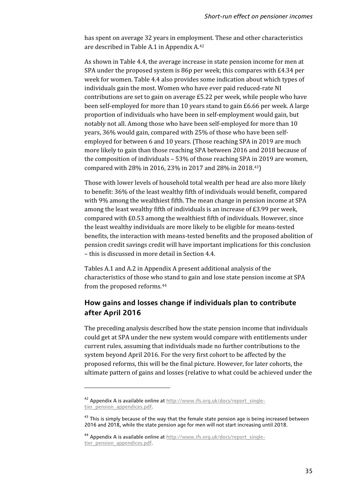has spent on average 32 years in employment. These and other characteristics are described in Table A.1 in Appendix A.[42](#page-41-0)

As shown in Table 4.4, the average increase in state pension income for men at SPA under the proposed system is 86p per week; this compares with £4.34 per week for women. Table 4.4 also provides some indication about which types of individuals gain the most. Women who have ever paid reduced-rate NI contributions are set to gain on average £5.22 per week, while people who have been self-employed for more than 10 years stand to gain £6.66 per week. A large proportion of individuals who have been in self-employment would gain, but notably not all. Among those who have been self-employed for more than 10 years, 36% would gain, compared with 25% of those who have been selfemployed for between 6 and 10 years. (Those reaching SPA in 2019 are much more likely to gain than those reaching SPA between 2016 and 2018 because of the composition of individuals – 53% of those reaching SPA in 2019 are women, compared with 28% in 2016, 23% in 2017 and 28% in 2018.[43](#page-41-1))

Those with lower levels of household total wealth per head are also more likely to benefit: 36% of the least wealthy fifth of individuals would benefit, compared with 9% among the wealthiest fifth. The mean change in pension income at SPA among the least wealthy fifth of individuals is an increase of £3.99 per week, compared with £0.53 among the wealthiest fifth of individuals. However, since the least wealthy individuals are more likely to be eligible for means-tested benefits, the interaction with means-tested benefits and the proposed abolition of pension credit savings credit will have important implications for this conclusion – this is discussed in more detail in Section 4.4.

Tables A.1 and A.2 in Appendix A present additional analysis of the characteristics of those who stand to gain and lose state pension income at SPA from the proposed reforms.[44](#page-41-2)

### **How gains and losses change if individuals plan to contribute after April 2016**

The preceding analysis described how the state pension income that individuals could get at SPA under the new system would compare with entitlements under current rules, assuming that individuals made no further contributions to the system beyond April 2016. For the very first cohort to be affected by the proposed reforms, this will be the final picture. However, for later cohorts, the ultimate pattern of gains and losses (relative to what could be achieved under the

<u>.</u>

<span id="page-41-0"></span><sup>42</sup> Appendix A is available online at http://www.ifs.org.uk/docs/report\_singletier\_pension\_appendices.pdf.

<span id="page-41-1"></span> $43$  This is simply because of the way that the female state pension age is being increased between 2016 and 2018, while the state pension age for men will not start increasing until 2018.

<span id="page-41-2"></span><sup>44</sup> Appendix A is available online at http://www.ifs.org.uk/docs/report\_singletier\_pension\_appendices.pdf.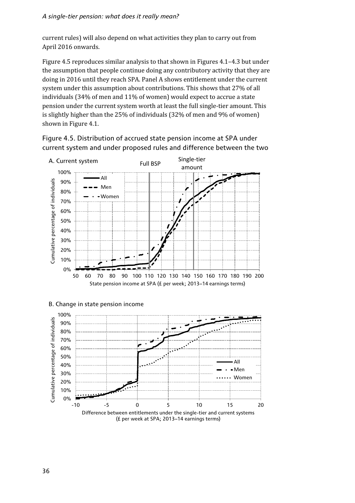current rules) will also depend on what activities they plan to carry out from April 2016 onwards.

Figure 4.5 reproduces similar analysis to that shown in Figures 4.1–4.3 but under the assumption that people continue doing any contributory activity that they are doing in 2016 until they reach SPA. Panel A shows entitlement under the current system under this assumption about contributions. This shows that 27% of all individuals (34% of men and 11% of women) would expect to accrue a state pension under the current system worth at least the full single-tier amount. This is slightly higher than the 25% of individuals (32% of men and 9% of women) shown in Figure 4.1.



Figure 4.5. Distribution of accrued state pension income at SPA under current system and under proposed rules and difference between the two



B. Change in state pension income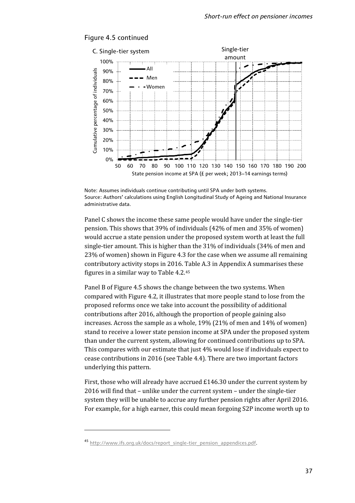

### Figure 4.5 continued

Note: Assumes individuals continue contributing until SPA under both systems. Source: Authors' calculations using English Longitudinal Study of Ageing and National Insurance administrative data.

Panel C shows the income these same people would have under the single-tier pension. This shows that 39% of individuals (42% of men and 35% of women) would accrue a state pension under the proposed system worth at least the full single-tier amount. This is higher than the 31% of individuals (34% of men and 23% of women) shown in Figure 4.3 for the case when we assume all remaining contributory activity stops in 2016. Table A.3 in Appendix A summarises these figures in a similar way to Table 4.2.[45](#page-43-0)

Panel B of Figure 4.5 shows the change between the two systems. When compared with Figure 4.2, it illustrates that more people stand to lose from the proposed reforms once we take into account the possibility of additional contributions after 2016, although the proportion of people gaining also increases. Across the sample as a whole, 19% (21% of men and 14% of women) stand to receive a lower state pension income at SPA under the proposed system than under the current system, allowing for continued contributions up to SPA. This compares with our estimate that just 4% would lose if individuals expect to cease contributions in 2016 (see Table 4.4). There are two important factors underlying this pattern.

First, those who will already have accrued £146.30 under the current system by 2016 will find that – unlike under the current system – under the single-tier system they will be unable to accrue any further pension rights after April 2016. For example, for a high earner, this could mean forgoing S2P income worth up to

**.** 

<span id="page-43-0"></span><sup>45</sup> http://www.ifs.org.uk/docs/report\_single-tier\_pension\_appendices.pdf.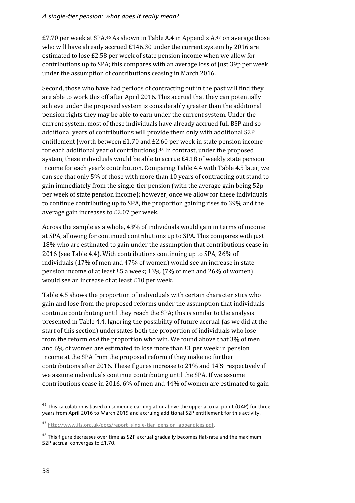$£7.70$  per week at SPA.<sup>46</sup> As shown in Table A.4 in Appendix A.<sup>[47](#page-44-1)</sup> on average those who will have already accrued £146.30 under the current system by 2016 are estimated to lose £2.58 per week of state pension income when we allow for contributions up to SPA; this compares with an average loss of just 39p per week under the assumption of contributions ceasing in March 2016.

Second, those who have had periods of contracting out in the past will find they are able to work this off after April 2016. This accrual that they can potentially achieve under the proposed system is considerably greater than the additional pension rights they may be able to earn under the current system. Under the current system, most of these individuals have already accrued full BSP and so additional years of contributions will provide them only with additional S2P entitlement (worth between £1.70 and £2.60 per week in state pension income for each additional year of contributions).[48](#page-44-2) In contrast, under the proposed system, these individuals would be able to accrue £4.18 of weekly state pension income for each year's contribution. Comparing Table 4.4 with Table 4.5 later, we can see that only 5% of those with more than 10 years of contracting out stand to gain immediately from the single-tier pension (with the average gain being 52p per week of state pension income); however, once we allow for these individuals to continue contributing up to SPA, the proportion gaining rises to 39% and the average gain increases to £2.07 per week.

Across the sample as a whole, 43% of individuals would gain in terms of income at SPA, allowing for continued contributions up to SPA. This compares with just 18% who are estimated to gain under the assumption that contributions cease in 2016 (see Table 4.4). With contributions continuing up to SPA, 26% of individuals (17% of men and 47% of women) would see an increase in state pension income of at least £5 a week; 13% (7% of men and 26% of women) would see an increase of at least £10 per week.

Table 4.5 shows the proportion of individuals with certain characteristics who gain and lose from the proposed reforms under the assumption that individuals continue contributing until they reach the SPA; this is similar to the analysis presented in Table 4.4. Ignoring the possibility of future accrual (as we did at the start of this section) understates both the proportion of individuals who lose from the reform *and* the proportion who win. We found above that 3% of men and 6% of women are estimated to lose more than £1 per week in pension income at the SPA from the proposed reform if they make no further contributions after 2016. These figures increase to 21% and 14% respectively if we assume individuals continue contributing until the SPA. If we assume contributions cease in 2016, 6% of men and 44% of women are estimated to gain

 $\overline{\phantom{a}}$ 

<span id="page-44-0"></span> $46$  This calculation is based on someone earning at or above the upper accrual point (UAP) for three years from April 2016 to March 2019 and accruing additional S2P entitlement for this activity.

<span id="page-44-1"></span><sup>&</sup>lt;sup>47</sup> http://www.ifs.org.uk/docs/report\_single-tier\_pension\_appendices.pdf.

<span id="page-44-2"></span><sup>&</sup>lt;sup>48</sup> This figure decreases over time as S2P accrual gradually becomes flat-rate and the maximum S<sub>2</sub>P accrual converges to £1.70.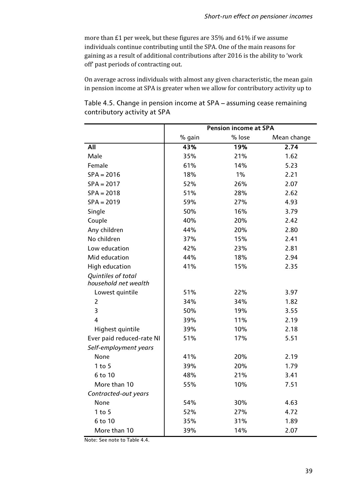more than £1 per week, but these figures are 35% and 61% if we assume individuals continue contributing until the SPA. One of the main reasons for gaining as a result of additional contributions after 2016 is the ability to 'work off' past periods of contracting out.

On average across individuals with almost any given characteristic, the mean gain in pension income at SPA is greater when we allow for contributory activity up to

Table 4.5. Change in pension income at SPA – assuming cease remaining contributory activity at SPA

|                           | <b>Pension income at SPA</b> |        |             |  |  |
|---------------------------|------------------------------|--------|-------------|--|--|
|                           | % gain                       | % lose | Mean change |  |  |
| All                       | 43%                          | 19%    | 2.74        |  |  |
| Male                      | 35%                          | 21%    | 1.62        |  |  |
| Female                    | 61%                          | 14%    | 5.23        |  |  |
| $SPA = 2016$              | 18%                          | 1%     | 2.21        |  |  |
| $SPA = 2017$              | 52%                          | 26%    | 2.07        |  |  |
| $SPA = 2018$              | 51%                          | 28%    | 2.62        |  |  |
| $SPA = 2019$              | 59%                          | 27%    | 4.93        |  |  |
| Single                    | 50%                          | 16%    | 3.79        |  |  |
| Couple                    | 40%                          | 20%    | 2.42        |  |  |
| Any children              | 44%                          | 20%    | 2.80        |  |  |
| No children               | 37%                          | 15%    | 2.41        |  |  |
| Low education             | 42%                          | 23%    | 2.81        |  |  |
| Mid education             | 44%                          | 18%    | 2.94        |  |  |
| <b>High education</b>     | 41%                          | 15%    | 2.35        |  |  |
| Quintiles of total        |                              |        |             |  |  |
| household net wealth      |                              |        |             |  |  |
| Lowest quintile           | 51%                          | 22%    | 3.97        |  |  |
| $\overline{2}$            | 34%                          | 34%    | 1.82        |  |  |
| 3                         | 50%                          | 19%    | 3.55        |  |  |
| $\overline{4}$            | 39%                          | 11%    | 2.19        |  |  |
| Highest quintile          | 39%                          | 10%    | 2.18        |  |  |
| Ever paid reduced-rate NI | 51%                          | 17%    | 5.51        |  |  |
| Self-employment years     |                              |        |             |  |  |
| None                      | 41%                          | 20%    | 2.19        |  |  |
| $1$ to $5$                | 39%                          | 20%    | 1.79        |  |  |
| 6 to 10                   | 48%                          | 21%    | 3.41        |  |  |
| More than 10              | 55%                          | 10%    | 7.51        |  |  |
| Contracted-out years      |                              |        |             |  |  |
| None                      | 54%                          | 30%    | 4.63        |  |  |
| $1$ to $5$                | 52%                          | 27%    | 4.72        |  |  |
| 6 to 10                   | 35%                          | 31%    | 1.89        |  |  |
| More than 10              | 39%                          | 14%    | 2.07        |  |  |

Note: See note to Table 4.4.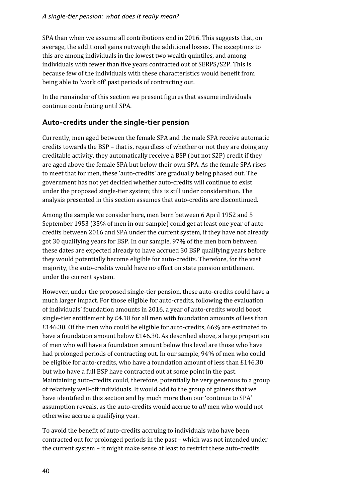SPA than when we assume all contributions end in 2016. This suggests that, on average, the additional gains outweigh the additional losses. The exceptions to this are among individuals in the lowest two wealth quintiles, and among individuals with fewer than five years contracted out of SERPS/S2P. This is because few of the individuals with these characteristics would benefit from being able to 'work off' past periods of contracting out.

In the remainder of this section we present figures that assume individuals continue contributing until SPA.

### **Auto-credits under the single-tier pension**

Currently, men aged between the female SPA and the male SPA receive automatic credits towards the BSP – that is, regardless of whether or not they are doing any creditable activity, they automatically receive a BSP (but not S2P) credit if they are aged above the female SPA but below their own SPA. As the female SPA rises to meet that for men, these 'auto-credits' are gradually being phased out. The government has not yet decided whether auto-credits will continue to exist under the proposed single-tier system; this is still under consideration. The analysis presented in this section assumes that auto-credits are discontinued.

Among the sample we consider here, men born between 6 April 1952 and 5 September 1953 (35% of men in our sample) could get at least one year of autocredits between 2016 and SPA under the current system, if they have not already got 30 qualifying years for BSP. In our sample, 97% of the men born between these dates are expected already to have accrued 30 BSP qualifying years before they would potentially become eligible for auto-credits. Therefore, for the vast majority, the auto-credits would have no effect on state pension entitlement under the current system.

However, under the proposed single-tier pension, these auto-credits could have a much larger impact. For those eligible for auto-credits, following the evaluation of individuals' foundation amounts in 2016, a year of auto-credits would boost single-tier entitlement by £4.18 for all men with foundation amounts of less than £146.30. Of the men who could be eligible for auto-credits, 66% are estimated to have a foundation amount below £146.30. As described above, a large proportion of men who will have a foundation amount below this level are those who have had prolonged periods of contracting out. In our sample, 94% of men who could be eligible for auto-credits, who have a foundation amount of less than £146.30 but who have a full BSP have contracted out at some point in the past. Maintaining auto-credits could, therefore, potentially be very generous to a group of relatively well-off individuals. It would add to the group of gainers that we have identified in this section and by much more than our 'continue to SPA' assumption reveals, as the auto-credits would accrue to *all* men who would not otherwise accrue a qualifying year.

To avoid the benefit of auto-credits accruing to individuals who have been contracted out for prolonged periods in the past – which was not intended under the current system – it might make sense at least to restrict these auto-credits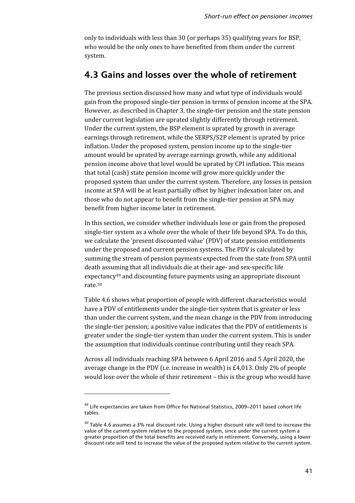only to individuals with less than 30 (or perhaps 35) qualifying years for BSP, who would be the only ones to have benefited from them under the current system.

### **4.3 Gains and losses over the whole of retirement**

The previous section discussed how many and what type of individuals would gain from the proposed single-tier pension in terms of pension income at the SPA. However, as described in Chapter 3, the single-tier pension and the state pension under current legislation are uprated slightly differently through retirement. Under the current system, the BSP element is uprated by growth in average earnings through retirement, while the SERPS/S2P element is uprated by price inflation. Under the proposed system, pension income up to the single-tier amount would be uprated by average earnings growth, while any additional pension income above that level would be uprated by CPI inflation. This means that total (cash) state pension income will grow more quickly under the proposed system than under the current system. Therefore, any losses in pension income at SPA will be at least partially offset by higher indexation later on, and those who do not appear to benefit from the single-tier pension at SPA may benefit from higher income later in retirement.

In this section, we consider whether individuals lose or gain from the proposed single-tier system as a whole over the whole of their life beyond SPA. To do this, we calculate the 'present discounted value' (PDV) of state pension entitlements under the proposed and current pension systems. The PDV is calculated by summing the stream of pension payments expected from the state from SPA until death assuming that all individuals die at their age- and sex-specific life expectancy<sup>[49](#page-47-0)</sup> and discounting future payments using an appropriate discount rate[.50](#page-47-1)

Table 4.6 shows what proportion of people with different characteristics would have a PDV of entitlements under the single-tier system that is greater or less than under the current system, and the mean change in the PDV from introducing the single-tier pension; a positive value indicates that the PDV of entitlements is greater under the single-tier system than under the current system. This is under the assumption that individuals continue contributing until they reach SPA.

Across all individuals reaching SPA between 6 April 2016 and 5 April 2020, the average change in the PDV (i.e. increase in wealth) is £4,013. Only 2% of people would lose over the whole of their retirement – this is the group who would have

**.** 

<span id="page-47-0"></span><sup>49</sup> Life expectancies are taken from Office for National Statistics, 2009–2011 based cohort life tables.

<span id="page-47-1"></span> $50$  Table 4.6 assumes a 3% real discount rate. Using a higher discount rate will tend to increase the value of the current system relative to the proposed system, since under the current system a greater proportion of the total benefits are received early in retirement. Conversely, using a lower discount rate will tend to increase the value of the proposed system relative to the current system.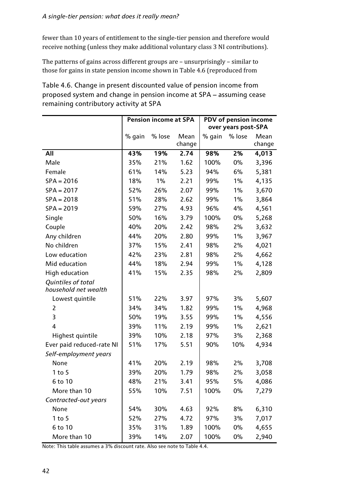fewer than 10 years of entitlement to the single-tier pension and therefore would receive nothing (unless they make additional voluntary class 3 NI contributions).

The patterns of gains across different groups are – unsurprisingly – similar to those for gains in state pension income shown in Table 4.6 (reproduced from

Table 4.6. Change in present discounted value of pension income from proposed system and change in pension income at SPA – assuming cease remaining contributory activity at SPA

|                                            | <b>Pension income at SPA</b> |        |        | PDV of pension income |        |        |  |
|--------------------------------------------|------------------------------|--------|--------|-----------------------|--------|--------|--|
|                                            |                              |        |        | over years post-SPA   |        |        |  |
|                                            | % gain                       | % lose | Mean   | % gain                | % lose | Mean   |  |
|                                            |                              |        | change |                       |        | change |  |
| All                                        | 43%                          | 19%    | 2.74   | 98%                   | 2%     | 4,013  |  |
| Male                                       | 35%                          | 21%    | 1.62   | 100%                  | 0%     | 3,396  |  |
| Female                                     | 61%                          | 14%    | 5.23   | 94%                   | 6%     | 5,381  |  |
| $SPA = 2016$                               | 18%                          | 1%     | 2.21   | 99%                   | $1\%$  | 4,135  |  |
| $SPA = 2017$                               | 52%                          | 26%    | 2.07   | 99%                   | $1\%$  | 3,670  |  |
| $SPA = 2018$                               | 51%                          | 28%    | 2.62   | 99%                   | $1\%$  | 3,864  |  |
| $SPA = 2019$                               | 59%                          | 27%    | 4.93   | 96%                   | 4%     | 4,561  |  |
| Single                                     | 50%                          | 16%    | 3.79   | 100%                  | 0%     | 5,268  |  |
| Couple                                     | 40%                          | 20%    | 2.42   | 98%                   | 2%     | 3,632  |  |
| Any children                               | 44%                          | 20%    | 2.80   | 99%                   | $1\%$  | 3,967  |  |
| No children                                | 37%                          | 15%    | 2.41   | 98%                   | 2%     | 4,021  |  |
| Low education                              | 42%                          | 23%    | 2.81   | 98%                   | 2%     | 4,662  |  |
| Mid education                              | 44%                          | 18%    | 2.94   | 99%                   | $1\%$  | 4,128  |  |
| <b>High education</b>                      | 41%                          | 15%    | 2.35   | 98%                   | 2%     | 2,809  |  |
| Quintiles of total<br>household net wealth |                              |        |        |                       |        |        |  |
| Lowest quintile                            | 51%                          | 22%    | 3.97   | 97%                   | 3%     | 5,607  |  |
| $\overline{2}$                             | 34%                          | 34%    | 1.82   | 99%                   | $1\%$  | 4,968  |  |
| 3                                          | 50%                          | 19%    | 3.55   | 99%                   | $1\%$  | 4,556  |  |
| 4                                          | 39%                          | 11%    | 2.19   | 99%                   | $1\%$  | 2,621  |  |
| Highest quintile                           | 39%                          | 10%    | 2.18   | 97%                   | 3%     | 2,368  |  |
| Ever paid reduced-rate NI                  | 51%                          | 17%    | 5.51   | 90%                   | 10%    | 4,934  |  |
| Self-employment years                      |                              |        |        |                       |        |        |  |
| None                                       | 41%                          | 20%    | 2.19   | 98%                   | 2%     | 3,708  |  |
| $1$ to $5$                                 | 39%                          | 20%    | 1.79   | 98%                   | 2%     | 3,058  |  |
| $6$ to $10$                                | 48%                          | 21%    | 3.41   | 95%                   | 5%     | 4,086  |  |
| More than 10                               | 55%                          | 10%    | 7.51   | 100%                  | $0\%$  | 7,279  |  |
| Contracted-out years                       |                              |        |        |                       |        |        |  |
| None                                       | 54%                          | 30%    | 4.63   | 92%                   | 8%     | 6,310  |  |
| $1$ to $5$                                 | 52%                          | 27%    | 4.72   | 97%                   | 3%     | 7,017  |  |
| 6 to 10                                    | 35%                          | 31%    | 1.89   | 100%                  | $0\%$  | 4,655  |  |
| More than 10                               | 39%                          | 14%    | 2.07   | 100%                  | $0\%$  | 2,940  |  |

Note: This table assumes a 3% discount rate. Also see note to Table 4.4.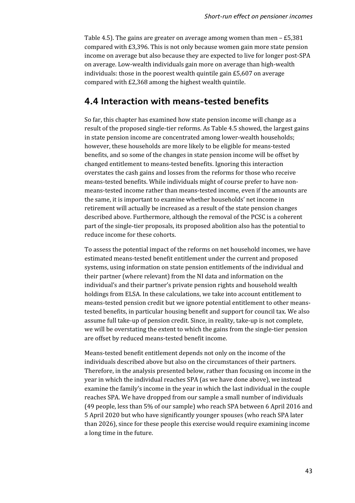Table 4.5). The gains are greater on average among women than men – £5,381 compared with £3,396. This is not only because women gain more state pension income on average but also because they are expected to live for longer post-SPA on average. Low-wealth individuals gain more on average than high-wealth individuals: those in the poorest wealth quintile gain  $£5,607$  on average compared with £2,368 among the highest wealth quintile.

### **4.4 Interaction with means-tested benefits**

So far, this chapter has examined how state pension income will change as a result of the proposed single-tier reforms. As Table 4.5 showed, the largest gains in state pension income are concentrated among lower-wealth households; however, these households are more likely to be eligible for means-tested benefits, and so some of the changes in state pension income will be offset by changed entitlement to means-tested benefits. Ignoring this interaction overstates the cash gains and losses from the reforms for those who receive means-tested benefits. While individuals might of course prefer to have nonmeans-tested income rather than means-tested income, even if the amounts are the same, it is important to examine whether households' net income in retirement will actually be increased as a result of the state pension changes described above. Furthermore, although the removal of the PCSC is a coherent part of the single-tier proposals, its proposed abolition also has the potential to reduce income for these cohorts.

To assess the potential impact of the reforms on net household incomes, we have estimated means-tested benefit entitlement under the current and proposed systems, using information on state pension entitlements of the individual and their partner (where relevant) from the NI data and information on the individual's and their partner's private pension rights and household wealth holdings from ELSA. In these calculations, we take into account entitlement to means-tested pension credit but we ignore potential entitlement to other meanstested benefits, in particular housing benefit and support for council tax. We also assume full take-up of pension credit. Since, in reality, take-up is not complete, we will be overstating the extent to which the gains from the single-tier pension are offset by reduced means-tested benefit income.

Means-tested benefit entitlement depends not only on the income of the individuals described above but also on the circumstances of their partners. Therefore, in the analysis presented below, rather than focusing on income in the year in which the individual reaches SPA (as we have done above), we instead examine the family's income in the year in which the last individual in the couple reaches SPA. We have dropped from our sample a small number of individuals (49 people, less than 5% of our sample) who reach SPA between 6 April 2016 and 5 April 2020 but who have significantly younger spouses (who reach SPA later than 2026), since for these people this exercise would require examining income a long time in the future.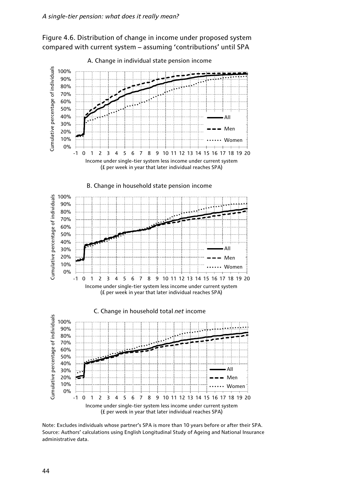



Note: Excludes individuals whose partner's SPA is more than 10 years before or after their SPA. Source: Authors' calculations using English Longitudinal Study of Ageing and National Insurance administrative data.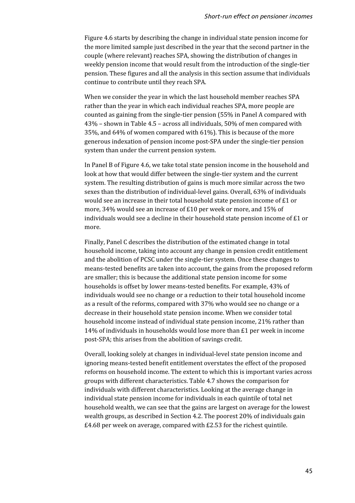Figure 4.6 starts by describing the change in individual state pension income for the more limited sample just described in the year that the second partner in the couple (where relevant) reaches SPA, showing the distribution of changes in weekly pension income that would result from the introduction of the single-tier pension. These figures and all the analysis in this section assume that individuals continue to contribute until they reach SPA.

When we consider the year in which the last household member reaches SPA rather than the year in which each individual reaches SPA, more people are counted as gaining from the single-tier pension (55% in Panel A compared with 43% – shown in Table 4.5 – across all individuals, 50% of men compared with 35%, and 64% of women compared with 61%). This is because of the more generous indexation of pension income post-SPA under the single-tier pension system than under the current pension system.

In Panel B of Figure 4.6, we take total state pension income in the household and look at how that would differ between the single-tier system and the current system. The resulting distribution of gains is much more similar across the two sexes than the distribution of individual-level gains. Overall, 63% of individuals would see an increase in their total household state pension income of £1 or more, 34% would see an increase of £10 per week or more, and 15% of individuals would see a decline in their household state pension income of £1 or more.

Finally, Panel C describes the distribution of the estimated change in total household income, taking into account any change in pension credit entitlement and the abolition of PCSC under the single-tier system. Once these changes to means-tested benefits are taken into account, the gains from the proposed reform are smaller; this is because the additional state pension income for some households is offset by lower means-tested benefits. For example, 43% of individuals would see no change or a reduction to their total household income as a result of the reforms, compared with 37% who would see no change or a decrease in their household state pension income. When we consider total household income instead of individual state pension income, 21% rather than 14% of individuals in households would lose more than £1 per week in income post-SPA; this arises from the abolition of savings credit.

Overall, looking solely at changes in individual-level state pension income and ignoring means-tested benefit entitlement overstates the effect of the proposed reforms on household income. The extent to which this is important varies across groups with different characteristics. Table 4.7 shows the comparison for individuals with different characteristics. Looking at the average change in individual state pension income for individuals in each quintile of total net household wealth, we can see that the gains are largest on average for the lowest wealth groups, as described in Section 4.2. The poorest 20% of individuals gain £4.68 per week on average, compared with £2.53 for the richest quintile.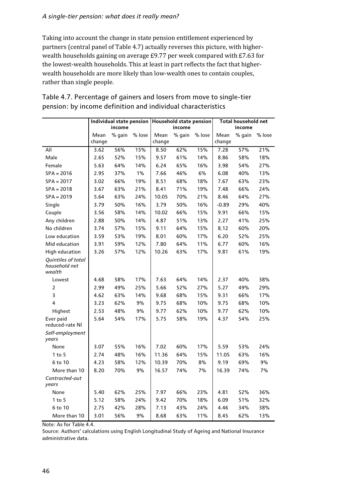Taking into account the change in state pension entitlement experienced by partners (central panel of Table 4.7) actually reverses this picture, with higherwealth households gaining on average £9.77 per week compared with £7.63 for the lowest-wealth households. This at least in part reflects the fact that higherwealth households are more likely than low-wealth ones to contain couples, rather than single people.

|                                               | Individual state pension |        | Household state pension |                |        | Total household net |                |        |        |
|-----------------------------------------------|--------------------------|--------|-------------------------|----------------|--------|---------------------|----------------|--------|--------|
|                                               | income                   |        | income                  |                |        | income              |                |        |        |
|                                               | Mean<br>change           | % gain | % lose                  | Mean<br>change | % qain | % lose              | Mean<br>change | % qain | % lose |
| All                                           | 3.62                     | 56%    | 15%                     | 8.50           | 62%    | 15%                 | 7.28           | 57%    | 21%    |
| Male                                          | 2.65                     | 52%    | 15%                     | 9.57           | 61%    | 14%                 | 8.86           | 58%    | 18%    |
| Female                                        | 5.63                     | 64%    | 14%                     | 6.24           | 65%    | 16%                 | 3.98           | 54%    | 27%    |
| $SPA = 2016$                                  | 2.95                     | 37%    | 1%                      | 7.66           | 46%    | 6%                  | 6.08           | 40%    | 13%    |
| $SPA = 2017$                                  | 3.02                     | 66%    | 19%                     | 8.51           | 68%    | 18%                 | 7.67           | 63%    | 23%    |
| $SPA = 2018$                                  | 3.67                     | 63%    | 21%                     | 8.41           | 71%    | 19%                 | 7.48           | 66%    | 24%    |
| $SPA = 2019$                                  | 5.64                     | 63%    | 24%                     | 10.05          | 70%    | 21%                 | 8.46           | 64%    | 27%    |
| Single                                        | 3.79                     | 50%    | 16%                     | 3.79           | 50%    | 16%                 | $-0.89$        | 29%    | 40%    |
| Couple                                        | 3.56                     | 58%    | 14%                     | 10.02          | 66%    | 15%                 | 9.91           | 66%    | 15%    |
| Any children                                  | 2.88                     | 50%    | 14%                     | 4.87           | 51%    | 13%                 | 2.27           | 41%    | 25%    |
| No children                                   | 3.74                     | 57%    | 15%                     | 9.11           | 64%    | 15%                 | 8.12           | 60%    | 20%    |
| Low education                                 | 3.59                     | 53%    | 19%                     | 8.01           | 60%    | 17%                 | 6.20           | 52%    | 25%    |
| Mid education                                 | 3.91                     | 59%    | 12%                     | 7.80           | 64%    | 11%                 | 6.77           | 60%    | 16%    |
| <b>High education</b>                         | 3.26                     | 57%    | 12%                     | 10.26          | 63%    | 17%                 | 9.81           | 61%    | 19%    |
| Quintiles of total<br>household net<br>wealth |                          |        |                         |                |        |                     |                |        |        |
| Lowest                                        | 4.68                     | 58%    | 17%                     | 7.63           | 64%    | 14%                 | 2.37           | 40%    | 38%    |
| $\overline{2}$                                | 2.99                     | 49%    | 25%                     | 5.66           | 52%    | 27%                 | 5.27           | 49%    | 29%    |
| 3                                             | 4.62                     | 63%    | 14%                     | 9.68           | 68%    | 15%                 | 9.31           | 66%    | 17%    |
| $\overline{4}$                                | 3.23                     | 62%    | 9%                      | 9.75           | 68%    | 10%                 | 9.75           | 68%    | 10%    |
| Highest                                       | 2.53                     | 48%    | 9%                      | 9.77           | 62%    | 10%                 | 9.77           | 62%    | 10%    |
| Ever paid<br>reduced-rate NI                  | 5.64                     | 54%    | 17%                     | 5.75           | 58%    | 19%                 | 4.37           | 54%    | 25%    |
| Self-employment<br>years                      |                          |        |                         |                |        |                     |                |        |        |
| None                                          | 3.07                     | 55%    | 16%                     | 7.02           | 60%    | 17%                 | 5.59           | 53%    | 24%    |
| $1$ to $5$                                    | 2.74                     | 48%    | 16%                     | 11.36          | 64%    | 15%                 | 11.05          | 63%    | 16%    |
| 6 to 10                                       | 4.23                     | 58%    | 12%                     | 10.39          | 70%    | 8%                  | 9.19           | 69%    | 9%     |
| More than 10                                  | 8.20                     | 70%    | 9%                      | 16.57          | 74%    | 7%                  | 16.39          | 74%    | 7%     |
| Contracted-out<br>years                       |                          |        |                         |                |        |                     |                |        |        |
| None                                          | 5.40                     | 62%    | 25%                     | 7.97           | 66%    | 23%                 | 4.81           | 52%    | 36%    |
| $1$ to $5$                                    | 5.12                     | 58%    | 24%                     | 9.42           | 70%    | 18%                 | 6.09           | 51%    | 32%    |
| 6 to 10                                       | 2.75                     | 42%    | 28%                     | 7.13           | 43%    | 24%                 | 4.46           | 34%    | 38%    |
| More than 10                                  | 3.01                     | 56%    | 9%                      | 8.68           | 63%    | 11%                 | 8.45           | 62%    | 13%    |

### Table 4.7. Percentage of gainers and losers from move to single-tier pension: by income definition and individual characteristics

Note: As for Table 4.4.

Source: Authors' calculations using English Longitudinal Study of Ageing and National Insurance administrative data.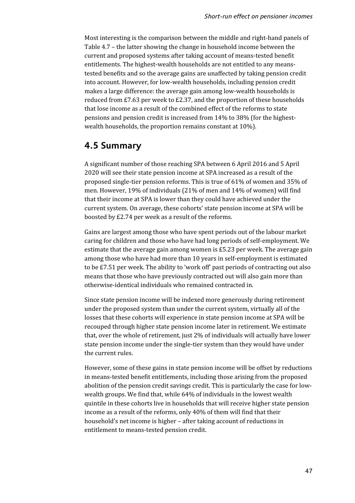Most interesting is the comparison between the middle and right-hand panels of Table 4.7 – the latter showing the change in household income between the current and proposed systems after taking account of means-tested benefit entitlements. The highest-wealth households are not entitled to any meanstested benefits and so the average gains are unaffected by taking pension credit into account. However, for low-wealth households, including pension credit makes a large difference: the average gain among low-wealth households is reduced from £7.63 per week to £2.37, and the proportion of these households that lose income as a result of the combined effect of the reforms to state pensions and pension credit is increased from 14% to 38% (for the highestwealth households, the proportion remains constant at 10%).

## **4.5 Summary**

A significant number of those reaching SPA between 6 April 2016 and 5 April 2020 will see their state pension income at SPA increased as a result of the proposed single-tier pension reforms. This is true of 61% of women and 35% of men. However, 19% of individuals (21% of men and 14% of women) will find that their income at SPA is lower than they could have achieved under the current system. On average, these cohorts' state pension income at SPA will be boosted by £2.74 per week as a result of the reforms.

Gains are largest among those who have spent periods out of the labour market caring for children and those who have had long periods of self-employment. We estimate that the average gain among women is £5.23 per week. The average gain among those who have had more than 10 years in self-employment is estimated to be £7.51 per week. The ability to 'work off' past periods of contracting out also means that those who have previously contracted out will also gain more than otherwise-identical individuals who remained contracted in.

Since state pension income will be indexed more generously during retirement under the proposed system than under the current system, virtually all of the losses that these cohorts will experience in state pension income at SPA will be recouped through higher state pension income later in retirement. We estimate that, over the whole of retirement, just 2% of individuals will actually have lower state pension income under the single-tier system than they would have under the current rules.

However, some of these gains in state pension income will be offset by reductions in means-tested benefit entitlements, including those arising from the proposed abolition of the pension credit savings credit. This is particularly the case for lowwealth groups. We find that, while 64% of individuals in the lowest wealth quintile in these cohorts live in households that will receive higher state pension income as a result of the reforms, only 40% of them will find that their household's net income is higher – after taking account of reductions in entitlement to means-tested pension credit.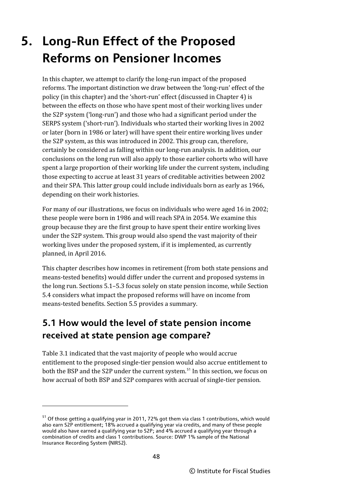# **5. Long-Run Effect of the Proposed Reforms on Pensioner Incomes**

In this chapter, we attempt to clarify the long-run impact of the proposed reforms. The important distinction we draw between the 'long-run' effect of the policy (in this chapter) and the 'short-run' effect (discussed in Chapter 4) is between the effects on those who have spent most of their working lives under the S2P system ('long-run') and those who had a significant period under the SERPS system ('short-run'). Individuals who started their working lives in 2002 or later (born in 1986 or later) will have spent their entire working lives under the S2P system, as this was introduced in 2002. This group can, therefore, certainly be considered as falling within our long-run analysis. In addition, our conclusions on the long run will also apply to those earlier cohorts who will have spent a large proportion of their working life under the current system, including those expecting to accrue at least 31 years of creditable activities between 2002 and their SPA. This latter group could include individuals born as early as 1966, depending on their work histories.

For many of our illustrations, we focus on individuals who were aged 16 in 2002; these people were born in 1986 and will reach SPA in 2054. We examine this group because they are the first group to have spent their entire working lives under the S2P system. This group would also spend the vast majority of their working lives under the proposed system, if it is implemented, as currently planned, in April 2016.

This chapter describes how incomes in retirement (from both state pensions and means-tested benefits) would differ under the current and proposed systems in the long run. Sections 5.1–5.3 focus solely on state pension income, while Section 5.4 considers what impact the proposed reforms will have on income from means-tested benefits. Section 5.5 provides a summary.

# **5.1 How would the level of state pension income received at state pension age compare?**

Table 3.1 indicated that the vast majority of people who would accrue entitlement to the proposed single-tier pension would also accrue entitlement to both the BSP and the S2P under the current system.<sup>[51](#page-54-0)</sup> In this section, we focus on how accrual of both BSP and S2P compares with accrual of single-tier pension.

 $\overline{\phantom{a}}$ 

<span id="page-54-0"></span> $51$  Of those getting a qualifying year in 2011, 72% got them via class 1 contributions, which would also earn S2P entitlement; 18% accrued a qualifying year via credits, and many of these people would also have earned a qualifying year to S2P; and 4% accrued a qualifying year through a combination of credits and class 1 contributions. Source: DWP 1% sample of the National Insurance Recording System (NIRS2).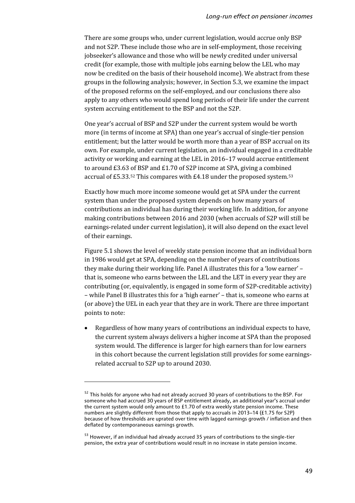There are some groups who, under current legislation, would accrue only BSP and not S2P. These include those who are in self-employment, those receiving jobseeker's allowance and those who will be newly credited under universal credit (for example, those with multiple jobs earning below the LEL who may now be credited on the basis of their household income). We abstract from these groups in the following analysis; however, in Section 5.3, we examine the impact of the proposed reforms on the self-employed, and our conclusions there also apply to any others who would spend long periods of their life under the current system accruing entitlement to the BSP and not the S2P.

One year's accrual of BSP and S2P under the current system would be worth more (in terms of income at SPA) than one year's accrual of single-tier pension entitlement; but the latter would be worth more than a year of BSP accrual on its own. For example, under current legislation, an individual engaged in a creditable activity or working and earning at the LEL in 2016–17 would accrue entitlement to around £3.63 of BSP and £1.70 of S2P income at SPA, giving a combined accrual of £5.33.[52](#page-55-0) This compares with £4.18 under the proposed system.[53](#page-55-1)

Exactly how much more income someone would get at SPA under the current system than under the proposed system depends on how many years of contributions an individual has during their working life. In addition, for anyone making contributions between 2016 and 2030 (when accruals of S2P will still be earnings-related under current legislation), it will also depend on the exact level of their earnings.

Figure 5.1 shows the level of weekly state pension income that an individual born in 1986 would get at SPA, depending on the number of years of contributions they make during their working life. Panel A illustrates this for a 'low earner' – that is, someone who earns between the LEL and the LET in every year they are contributing (or, equivalently, is engaged in some form of S2P-creditable activity) – while Panel B illustrates this for a 'high earner' – that is, someone who earns at (or above) the UEL in each year that they are in work. There are three important points to note:

• Regardless of how many years of contributions an individual expects to have, the current system always delivers a higher income at SPA than the proposed system would. The difference is larger for high earners than for low earners in this cohort because the current legislation still provides for some earningsrelated accrual to S2P up to around 2030.

**.** 

<span id="page-55-0"></span> $52$  This holds for anyone who had not already accrued 30 years of contributions to the BSP. For someone who had accrued 30 years of BSP entitlement already, an additional year's accrual under the current system would only amount to £1.70 of extra weekly state pension income. These numbers are slightly different from those that apply to accruals in 2013–14 (£1.75 for S2P) because of how thresholds are uprated over time with lagged earnings growth / inflation and then deflated by contemporaneous earnings growth.

<span id="page-55-1"></span><sup>&</sup>lt;sup>53</sup> However, if an individual had already accrued 35 years of contributions to the single-tier pension, the extra year of contributions would result in no increase in state pension income.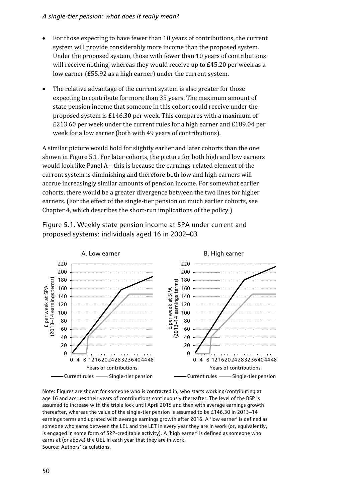- For those expecting to have fewer than 10 years of contributions, the current system will provide considerably more income than the proposed system. Under the proposed system, those with fewer than 10 years of contributions will receive nothing, whereas they would receive up to £45.20 per week as a low earner (£55.92 as a high earner) under the current system.
- The relative advantage of the current system is also greater for those expecting to contribute for more than 35 years. The maximum amount of state pension income that someone in this cohort could receive under the proposed system is £146.30 per week. This compares with a maximum of £213.60 per week under the current rules for a high earner and £189.04 per week for a low earner (both with 49 years of contributions).

A similar picture would hold for slightly earlier and later cohorts than the one shown in Figure 5.1. For later cohorts, the picture for both high and low earners would look like Panel A – this is because the earnings-related element of the current system is diminishing and therefore both low and high earners will accrue increasingly similar amounts of pension income. For somewhat earlier cohorts, there would be a greater divergence between the two lines for higher earners. (For the effect of the single-tier pension on much earlier cohorts, see Chapter 4, which describes the short-run implications of the policy.)



Figure 5.1. Weekly state pension income at SPA under current and proposed systems: individuals aged 16 in 2002–03

Note: Figures are shown for someone who is contracted in, who starts working/contributing at age 16 and accrues their years of contributions continuously thereafter. The level of the BSP is assumed to increase with the triple lock until April 2015 and then with average earnings growth thereafter, whereas the value of the single-tier pension is assumed to be £146.30 in 2013–14 earnings terms and uprated with average earnings growth after 2016. A 'low earner' is defined as someone who earns between the LEL and the LET in every year they are in work (or, equivalently, is engaged in some form of S2P-creditable activity). A 'high earner' is defined as someone who earns at (or above) the UEL in each year that they are in work. Source: Authors' calculations.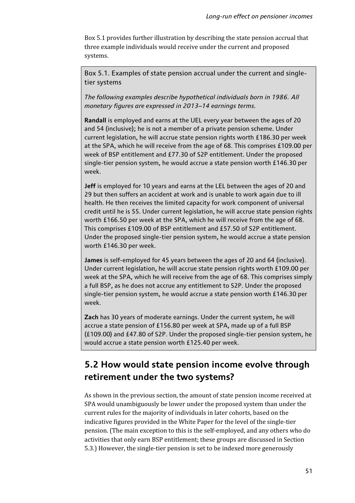Box 5.1 provides further illustration by describing the state pension accrual that three example individuals would receive under the current and proposed systems.

Box 5.1. Examples of state pension accrual under the current and singletier systems

*The following examples describe hypothetical individuals born in 1986. All monetary figures are expressed in 2013–14 earnings terms.*

**Randall** is employed and earns at the UEL every year between the ages of 20 and 54 (inclusive); he is not a member of a private pension scheme. Under current legislation, he will accrue state pension rights worth £186.30 per week at the SPA, which he will receive from the age of 68. This comprises £109.00 per week of BSP entitlement and £77.30 of S2P entitlement. Under the proposed single-tier pension system, he would accrue a state pension worth £146.30 per week.

**Jeff** is employed for 10 years and earns at the LEL between the ages of 20 and 29 but then suffers an accident at work and is unable to work again due to ill health. He then receives the limited capacity for work component of universal credit until he is 55. Under current legislation, he will accrue state pension rights worth £166.50 per week at the SPA, which he will receive from the age of 68. This comprises £109.00 of BSP entitlement and £57.50 of S2P entitlement. Under the proposed single-tier pension system, he would accrue a state pension worth £146.30 per week.

**James** is self-employed for 45 years between the ages of 20 and 64 (inclusive). Under current legislation, he will accrue state pension rights worth £109.00 per week at the SPA, which he will receive from the age of 68. This comprises simply a full BSP, as he does not accrue any entitlement to S2P. Under the proposed single-tier pension system, he would accrue a state pension worth £146.30 per week.

**Zach** has 30 years of moderate earnings. Under the current system, he will accrue a state pension of £156.80 per week at SPA, made up of a full BSP (£109.00) and £47.80 of S2P. Under the proposed single-tier pension system, he would accrue a state pension worth £125.40 per week.

# **5.2 How would state pension income evolve through retirement under the two systems?**

As shown in the previous section, the amount of state pension income received at SPA would unambiguously be lower under the proposed system than under the current rules for the majority of individuals in later cohorts, based on the indicative figures provided in the White Paper for the level of the single-tier pension. (The main exception to this is the self-employed, and any others who do activities that only earn BSP entitlement; these groups are discussed in Section 5.3.) However, the single-tier pension is set to be indexed more generously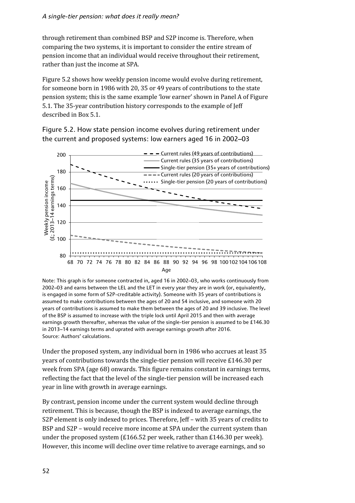through retirement than combined BSP and S2P income is. Therefore, when comparing the two systems, it is important to consider the entire stream of pension income that an individual would receive throughout their retirement, rather than just the income at SPA.

Figure 5.2 shows how weekly pension income would evolve during retirement, for someone born in 1986 with 20, 35 or 49 years of contributions to the state pension system; this is the same example 'low earner' shown in Panel A of Figure 5.1. The 35-year contribution history corresponds to the example of Jeff described in Box 5.1.

Figure 5.2. How state pension income evolves during retirement under the current and proposed systems: low earners aged 16 in 2002–03



Note: This graph is for someone contracted in, aged 16 in 2002–03, who works continuously from 2002–03 and earns between the LEL and the LET in every year they are in work (or, equivalently, is engaged in some form of S2P-creditable activity). Someone with 35 years of contributions is assumed to make contributions between the ages of 20 and 54 inclusive, and someone with 20 years of contributions is assumed to make them between the ages of 20 and 39 inclusive. The level of the BSP is assumed to increase with the triple lock until April 2015 and then with average earnings growth thereafter, whereas the value of the single-tier pension is assumed to be £146.30 in 2013–14 earnings terms and uprated with average earnings growth after 2016. Source: Authors' calculations.

Under the proposed system, any individual born in 1986 who accrues at least 35 years of contributions towards the single-tier pension will receive £146.30 per week from SPA (age 68) onwards. This figure remains constant in earnings terms, reflecting the fact that the level of the single-tier pension will be increased each year in line with growth in average earnings.

By contrast, pension income under the current system would decline through retirement. This is because, though the BSP is indexed to average earnings, the S2P element is only indexed to prices. Therefore, Jeff – with 35 years of credits to BSP and S2P – would receive more income at SPA under the current system than under the proposed system (£166.52 per week, rather than £146.30 per week). However, this income will decline over time relative to average earnings, and so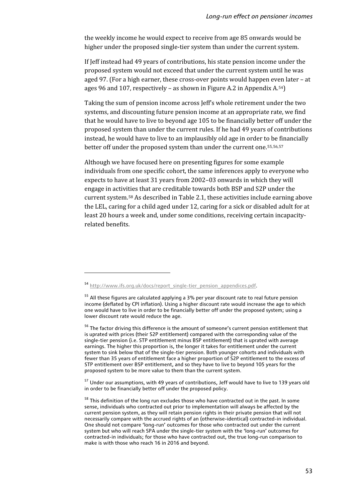the weekly income he would expect to receive from age 85 onwards would be higher under the proposed single-tier system than under the current system.

If Jeff instead had 49 years of contributions, his state pension income under the proposed system would not exceed that under the current system until he was aged 97. (For a high earner, these cross-over points would happen even later – at ages 96 and 107, respectively – as shown in Figure A.2 in Appendix  $A^{54}$ )

Taking the sum of pension income across Jeff's whole retirement under the two systems, and discounting future pension income at an appropriate rate, we find that he would have to live to beyond age 105 to be financially better off under the proposed system than under the current rules. If he had 49 years of contributions instead, he would have to live to an implausibly old age in order to be financially better off under the proposed system than under the current one.[55](#page-59-1),[56,](#page-59-2)[57](#page-59-3)

Although we have focused here on presenting figures for some example individuals from one specific cohort, the same inferences apply to everyone who expects to have at least 31 years from 2002–03 onwards in which they will engage in activities that are creditable towards both BSP and S2P under the current system[.58](#page-59-4) As described in Table 2.1, these activities include earning above the LEL, caring for a child aged under 12, caring for a sick or disabled adult for at least 20 hours a week and, under some conditions, receiving certain incapacityrelated benefits.

**.** 

<span id="page-59-0"></span><sup>54</sup> http://www.ifs.org.uk/docs/report\_single-tier\_pension\_appendices.pdf.

<span id="page-59-1"></span> $55$  All these figures are calculated applying a 3% per year discount rate to real future pension income (deflated by CPI inflation). Using a higher discount rate would increase the age to which one would have to live in order to be financially better off under the proposed system; using a lower discount rate would reduce the age.

<span id="page-59-2"></span><sup>&</sup>lt;sup>56</sup> The factor driving this difference is the amount of someone's current pension entitlement that is uprated with prices (their S2P entitlement) compared with the corresponding value of the single-tier pension (i.e. STP entitlement minus BSP entitlement) that is uprated with average earnings. The higher this proportion is, the longer it takes for entitlement under the current system to sink below that of the single-tier pension. Both younger cohorts and individuals with fewer than 35 years of entitlement face a higher proportion of S2P entitlement to the excess of STP entitlement over BSP entitlement, and so they have to live to beyond 105 years for the proposed system to be more value to them than the current system.

<span id="page-59-3"></span><sup>&</sup>lt;sup>57</sup> Under our assumptions, with 49 years of contributions, Jeff would have to live to 139 years old in order to be financially better off under the proposed policy.

<span id="page-59-4"></span><sup>&</sup>lt;sup>58</sup> This definition of the long run excludes those who have contracted out in the past. In some sense, individuals who contracted out prior to implementation will always be affected by the current pension system, as they will retain pension rights in their private pension that will not necessarily compare with the accrued rights of an (otherwise-identical) contracted-in individual. One should not compare 'long-run' outcomes for those who contracted out under the current system but who will reach SPA under the single-tier system with the 'long-run' outcomes for contracted-in individuals; for those who have contracted out, the true long-run comparison to make is with those who reach 16 in 2016 and beyond.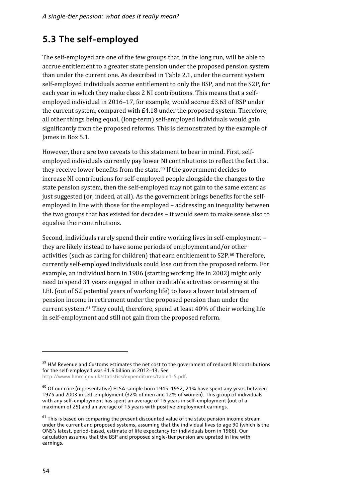# **5.3 The self-employed**

The self-employed are one of the few groups that, in the long run, will be able to accrue entitlement to a greater state pension under the proposed pension system than under the current one. As described in Table 2.1, under the current system self-employed individuals accrue entitlement to only the BSP, and not the S2P, for each year in which they make class 2 NI contributions. This means that a selfemployed individual in 2016–17, for example, would accrue £3.63 of BSP under the current system, compared with £4.18 under the proposed system. Therefore, all other things being equal, (long-term) self-employed individuals would gain significantly from the proposed reforms. This is demonstrated by the example of James in Box 5.1.

However, there are two caveats to this statement to bear in mind. First, selfemployed individuals currently pay lower NI contributions to reflect the fact that they receive lower benefits from the state.[59](#page-60-0) If the government decides to increase NI contributions for self-employed people alongside the changes to the state pension system, then the self-employed may not gain to the same extent as just suggested (or, indeed, at all). As the government brings benefits for the selfemployed in line with those for the employed – addressing an inequality between the two groups that has existed for decades – it would seem to make sense also to equalise their contributions.

Second, individuals rarely spend their entire working lives in self-employment – they are likely instead to have some periods of employment and/or other activities (such as caring for children) that earn entitlement to S2P.<sup>[60](#page-60-1)</sup> Therefore, currently self-employed individuals could lose out from the proposed reform. For example, an individual born in 1986 (starting working life in 2002) might only need to spend 31 years engaged in other creditable activities or earning at the LEL (out of 52 potential years of working life) to have a lower total stream of pension income in retirement under the proposed pension than under the current system.[61](#page-60-2) They could, therefore, spend at least 40% of their working life in self-employment and still not gain from the proposed reform.

**.** 

<span id="page-60-0"></span><sup>&</sup>lt;sup>59</sup> HM Revenue and Customs estimates the net cost to the government of reduced NI contributions for the self-employed was £1.6 billion in 2012–13. See

http://www.hmrc.gov.uk/statistics/expenditures/table1-5.pdf.

<span id="page-60-1"></span> $60$  Of our core (representative) ELSA sample born 1945–1952, 21% have spent any years between 1975 and 2003 in self-employment (32% of men and 12% of women). This group of individuals with any self-employment has spent an average of 16 years in self-employment (out of a maximum of 29) and an average of 15 years with positive employment earnings.

<span id="page-60-2"></span> $61$  This is based on comparing the present discounted value of the state pension income stream under the current and proposed systems, assuming that the individual lives to age 90 (which is the ONS's latest, period-based, estimate of life expectancy for individuals born in 1986). Our calculation assumes that the BSP and proposed single-tier pension are uprated in line with earnings.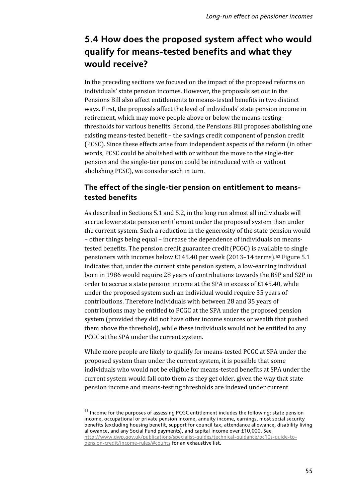# **5.4 How does the proposed system affect who would qualify for means-tested benefits and what they would receive?**

In the preceding sections we focused on the impact of the proposed reforms on individuals' state pension incomes. However, the proposals set out in the Pensions Bill also affect entitlements to means-tested benefits in two distinct ways. First, the proposals affect the level of individuals' state pension income in retirement, which may move people above or below the means-testing thresholds for various benefits. Second, the Pensions Bill proposes abolishing one existing means-tested benefit – the savings credit component of pension credit (PCSC). Since these effects arise from independent aspects of the reform (in other words, PCSC could be abolished with or without the move to the single-tier pension and the single-tier pension could be introduced with or without abolishing PCSC), we consider each in turn.

### **The effect of the single-tier pension on entitlement to meanstested benefits**

As described in Sections 5.1 and 5.2, in the long run almost all individuals will accrue lower state pension entitlement under the proposed system than under the current system. Such a reduction in the generosity of the state pension would – other things being equal – increase the dependence of individuals on meanstested benefits. The pension credit guarantee credit (PCGC) is available to single pensioners with incomes below £145.40 per week  $(2013-14 \text{ terms})$ .<sup>[62](#page-61-0)</sup> Figure 5.1 indicates that, under the current state pension system, a low-earning individual born in 1986 would require 28 years of contributions towards the BSP and S2P in order to accrue a state pension income at the SPA in excess of £145.40, while under the proposed system such an individual would require 35 years of contributions. Therefore individuals with between 28 and 35 years of contributions may be entitled to PCGC at the SPA under the proposed pension system (provided they did not have other income sources or wealth that pushed them above the threshold), while these individuals would not be entitled to any PCGC at the SPA under the current system.

While more people are likely to qualify for means-tested PCGC at SPA under the proposed system than under the current system, it is possible that some individuals who would not be eligible for means-tested benefits at SPA under the current system would fall onto them as they get older, given the way that state pension income and means-testing thresholds are indexed under current

 $\overline{\phantom{a}}$ 

<span id="page-61-0"></span> $62$  Income for the purposes of assessing PCGC entitlement includes the following: state pension income, occupational or private pension income, annuity income, earnings, most social security benefits (excluding housing benefit, support for council tax, attendance allowance, disability living allowance, and any Social Fund payments), and capital income over £10,000. See [http://www.dwp.gov.uk/publications/specialist-guides/technical-guidance/pc10s-guide-to](http://www.dwp.gov.uk/publications/specialist-guides/technical-guidance/pc10s-guide-to-pension-credit/income-rules/%23counts)[pension-credit/income-rules/#counts](http://www.dwp.gov.uk/publications/specialist-guides/technical-guidance/pc10s-guide-to-pension-credit/income-rules/%23counts) for an exhaustive list.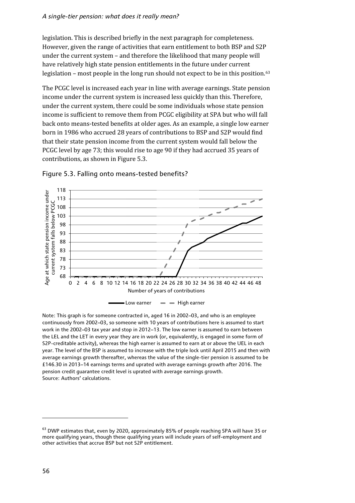legislation. This is described briefly in the next paragraph for completeness. However, given the range of activities that earn entitlement to both BSP and S2P under the current system – and therefore the likelihood that many people will have relatively high state pension entitlements in the future under current legislation – most people in the long run should not expect to be in this position.<sup>[63](#page-62-0)</sup>

The PCGC level is increased each year in line with average earnings. State pension income under the current system is increased less quickly than this. Therefore, under the current system, there could be some individuals whose state pension income is sufficient to remove them from PCGC eligibility at SPA but who will fall back onto means-tested benefits at older ages. As an example, a single low earner born in 1986 who accrued 28 years of contributions to BSP and S2P would find that their state pension income from the current system would fall below the PCGC level by age 73; this would rise to age 90 if they had accrued 35 years of contributions, as shown in Figure 5.3.



### Figure 5.3. Falling onto means-tested benefits?

Note: This graph is for someone contracted in, aged 16 in 2002–03, and who is an employee continuously from 2002–03, so someone with 10 years of contributions here is assumed to start work in the 2002–03 tax year and stop in 2012–13. The low earner is assumed to earn between the LEL and the LET in every year they are in work (or, equivalently, is engaged in some form of S2P-creditable activity), whereas the high earner is assumed to earn at or above the UEL in each year. The level of the BSP is assumed to increase with the triple lock until April 2015 and then with average earnings growth thereafter, whereas the value of the single-tier pension is assumed to be £146.30 in 2013–14 earnings terms and uprated with average earnings growth after 2016. The pension credit guarantee credit level is uprated with average earnings growth. Source: Authors' calculations.

 $\overline{\phantom{a}}$ 

<span id="page-62-0"></span><sup>&</sup>lt;sup>63</sup> DWP estimates that, even by 2020, approximately 85% of people reaching SPA will have 35 or more qualifying years, though these qualifying years will include years of self-employment and other activities that accrue BSP but not S2P entitlement.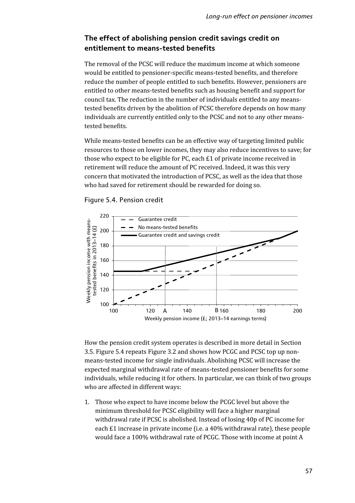### **The effect of abolishing pension credit savings credit on entitlement to means-tested benefits**

The removal of the PCSC will reduce the maximum income at which someone would be entitled to pensioner-specific means-tested benefits, and therefore reduce the number of people entitled to such benefits. However, pensioners are entitled to other means-tested benefits such as housing benefit and support for council tax. The reduction in the number of individuals entitled to any meanstested benefits driven by the abolition of PCSC therefore depends on how many individuals are currently entitled only to the PCSC and not to any other meanstested benefits.

While means-tested benefits can be an effective way of targeting limited public resources to those on lower incomes, they may also reduce incentives to save; for those who expect to be eligible for PC, each £1 of private income received in retirement will reduce the amount of PC received. Indeed, it was this very concern that motivated the introduction of PCSC, as well as the idea that those who had saved for retirement should be rewarded for doing so.



Figure 5.4. Pension credit

How the pension credit system operates is described in more detail in Section 3.5. Figure 5.4 repeats Figure 3.2 and shows how PCGC and PCSC top up nonmeans-tested income for single individuals. Abolishing PCSC will increase the expected marginal withdrawal rate of means-tested pensioner benefits for some individuals, while reducing it for others. In particular, we can think of two groups who are affected in different ways:

1. Those who expect to have income below the PCGC level but above the minimum threshold for PCSC eligibility will face a higher marginal withdrawal rate if PCSC is abolished. Instead of losing 40p of PC income for each £1 increase in private income (i.e. a 40% withdrawal rate), these people would face a 100% withdrawal rate of PCGC. Those with income at point A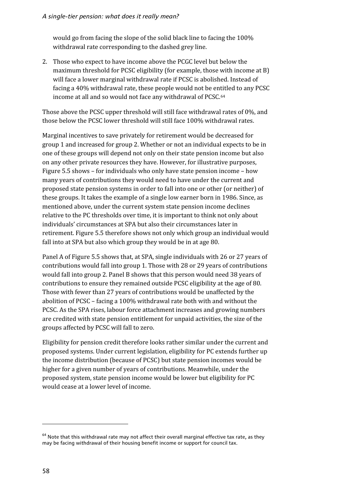would go from facing the slope of the solid black line to facing the 100% withdrawal rate corresponding to the dashed grey line.

2. Those who expect to have income above the PCGC level but below the maximum threshold for PCSC eligibility (for example, those with income at B) will face a lower marginal withdrawal rate if PCSC is abolished. Instead of facing a 40% withdrawal rate, these people would not be entitled to any PCSC income at all and so would not face any withdrawal of PCSC.[64](#page-64-0)

Those above the PCSC upper threshold will still face withdrawal rates of 0%, and those below the PCSC lower threshold will still face 100% withdrawal rates.

Marginal incentives to save privately for retirement would be decreased for group 1 and increased for group 2. Whether or not an individual expects to be in one of these groups will depend not only on their state pension income but also on any other private resources they have. However, for illustrative purposes, Figure 5.5 shows – for individuals who only have state pension income – how many years of contributions they would need to have under the current and proposed state pension systems in order to fall into one or other (or neither) of these groups. It takes the example of a single low earner born in 1986. Since, as mentioned above, under the current system state pension income declines relative to the PC thresholds over time, it is important to think not only about individuals' circumstances at SPA but also their circumstances later in retirement. Figure 5.5 therefore shows not only which group an individual would fall into at SPA but also which group they would be in at age 80.

Panel A of Figure 5.5 shows that, at SPA, single individuals with 26 or 27 years of contributions would fall into group 1. Those with 28 or 29 years of contributions would fall into group 2. Panel B shows that this person would need 38 years of contributions to ensure they remained outside PCSC eligibility at the age of 80. Those with fewer than 27 years of contributions would be unaffected by the abolition of PCSC – facing a 100% withdrawal rate both with and without the PCSC. As the SPA rises, labour force attachment increases and growing numbers are credited with state pension entitlement for unpaid activities, the size of the groups affected by PCSC will fall to zero.

Eligibility for pension credit therefore looks rather similar under the current and proposed systems. Under current legislation, eligibility for PC extends further up the income distribution (because of PCSC) but state pension incomes would be higher for a given number of years of contributions. Meanwhile, under the proposed system, state pension income would be lower but eligibility for PC would cease at a lower level of income.

**.** 

<span id="page-64-0"></span> $64$  Note that this withdrawal rate may not affect their overall marginal effective tax rate, as they may be facing withdrawal of their housing benefit income or support for council tax.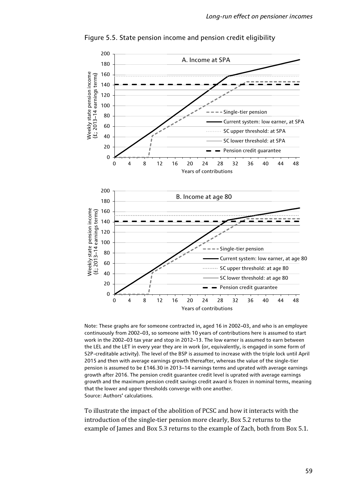

Figure 5.5. State pension income and pension credit eligibility

Note: These graphs are for someone contracted in, aged 16 in 2002–03, and who is an employee continuously from 2002–03, so someone with 10 years of contributions here is assumed to start work in the 2002–03 tax year and stop in 2012–13. The low earner is assumed to earn between the LEL and the LET in every year they are in work (or, equivalently, is engaged in some form of S2P-creditable activity). The level of the BSP is assumed to increase with the triple lock until April 2015 and then with average earnings growth thereafter, whereas the value of the single-tier pension is assumed to be £146.30 in 2013–14 earnings terms and uprated with average earnings growth after 2016. The pension credit guarantee credit level is uprated with average earnings growth and the maximum pension credit savings credit award is frozen in nominal terms, meaning that the lower and upper thresholds converge with one another. Source: Authors' calculations.

To illustrate the impact of the abolition of PCSC and how it interacts with the introduction of the single-tier pension more clearly, Box 5.2 returns to the example of James and Box 5.3 returns to the example of Zach, both from Box 5.1.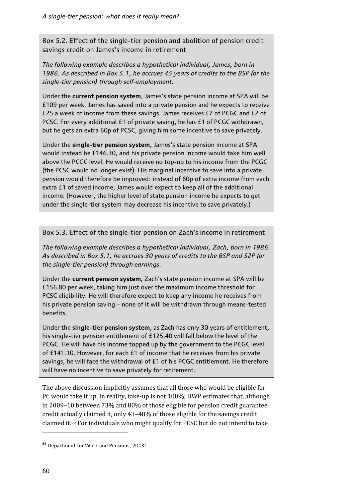Box 5.2. Effect of the single-tier pension and abolition of pension credit savings credit on James's income in retirement

*The following example describes a hypothetical individual, James, born in 1986. As described in Box 5.1, he accrues 45 years of credits to the BSP (or the single-tier pension) through self-employment.*

Under the **current pension system**, James's state pension income at SPA will be £109 per week. James has saved into a private pension and he expects to receive £25 a week of income from these savings. James receives £7 of PCGC and £2 of PCSC. For every additional £1 of private saving, he has £1 of PCGC withdrawn, but he gets an extra 60p of PCSC, giving him some incentive to save privately.

Under the **single-tier pension system**, James's state pension income at SPA would instead be £146.30, and his private pension income would take him well above the PCGC level. He would receive no top-up to his income from the PCGC (the PCSC would no longer exist). His marginal incentive to save into a private pension would therefore be improved: instead of 60p of extra income from each extra £1 of saved income, James would expect to keep all of the additional income. (However, the higher level of state pension income he expects to get under the single-tier system may decrease his incentive to save privately.)

Box 5.3. Effect of the single-tier pension on Zach's income in retirement

*The following example describes a hypothetical individual, Zach, born in 1986. As described in Box 5.1, he accrues 30 years of credits to the BSP and S2P (or the single-tier pension) through earnings.*

Under the **current pension system**, Zach's state pension income at SPA will be £156.80 per week, taking him just over the maximum income threshold for PCSC eligibility. He will therefore expect to keep any income he receives from his private pension saving – none of it will be withdrawn through means-tested benefits.

Under the **single-tier pension system**, as Zach has only 30 years of entitlement, his single-tier pension entitlement of £125.40 will fall below the level of the PCGC. He will have his income topped up by the government to the PCGC level of £141.10. However, for each £1 of income that he receives from his private savings, he will face the withdrawal of £1 of his PCGC entitlement. He therefore will have no incentive to save privately for retirement.

The above discussion implicitly assumes that all those who would be eligible for PC would take it up. In reality, take-up is not 100%; DWP estimates that, although in 2009–10 between 73% and 80% of those eligible for pension credit guarantee credit actually claimed it, only 43–48% of those eligible for the savings credit claimed it.[65](#page-66-0) For individuals who might qualify for PCSC but do not intend to take

 $\overline{\phantom{a}}$ 

<span id="page-66-0"></span><sup>&</sup>lt;sup>65</sup> Department for Work and Pensions, 2013f.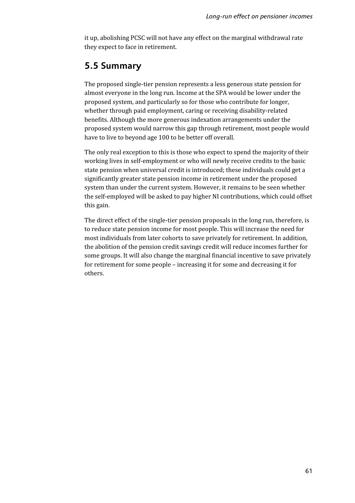it up, abolishing PCSC will not have any effect on the marginal withdrawal rate they expect to face in retirement.

# **5.5 Summary**

The proposed single-tier pension represents a less generous state pension for almost everyone in the long run. Income at the SPA would be lower under the proposed system, and particularly so for those who contribute for longer, whether through paid employment, caring or receiving disability-related benefits. Although the more generous indexation arrangements under the proposed system would narrow this gap through retirement, most people would have to live to beyond age 100 to be better off overall.

The only real exception to this is those who expect to spend the majority of their working lives in self-employment or who will newly receive credits to the basic state pension when universal credit is introduced; these individuals could get a significantly greater state pension income in retirement under the proposed system than under the current system. However, it remains to be seen whether the self-employed will be asked to pay higher NI contributions, which could offset this gain.

The direct effect of the single-tier pension proposals in the long run, therefore, is to reduce state pension income for most people. This will increase the need for most individuals from later cohorts to save privately for retirement. In addition, the abolition of the pension credit savings credit will reduce incomes further for some groups. It will also change the marginal financial incentive to save privately for retirement for some people – increasing it for some and decreasing it for others.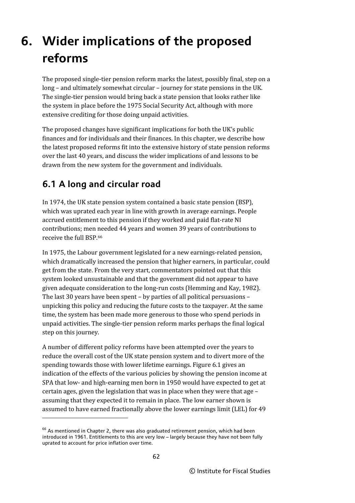# **6. Wider implications of the proposed reforms**

The proposed single-tier pension reform marks the latest, possibly final, step on a long – and ultimately somewhat circular – journey for state pensions in the UK. The single-tier pension would bring back a state pension that looks rather like the system in place before the 1975 Social Security Act, although with more extensive crediting for those doing unpaid activities.

The proposed changes have significant implications for both the UK's public finances and for individuals and their finances. In this chapter, we describe how the latest proposed reforms fit into the extensive history of state pension reforms over the last 40 years, and discuss the wider implications of and lessons to be drawn from the new system for the government and individuals.

# **6.1 A long and circular road**

 $\overline{\phantom{a}}$ 

In 1974, the UK state pension system contained a basic state pension (BSP), which was uprated each year in line with growth in average earnings. People accrued entitlement to this pension if they worked and paid flat-rate NI contributions; men needed 44 years and women 39 years of contributions to receive the full BSP.[66](#page-68-0)

In 1975, the Labour government legislated for a new earnings-related pension, which dramatically increased the pension that higher earners, in particular, could get from the state. From the very start, commentators pointed out that this system looked unsustainable and that the government did not appear to have given adequate consideration to the long-run costs (Hemming and Kay, 1982). The last 30 years have been spent – by parties of all political persuasions – unpicking this policy and reducing the future costs to the taxpayer. At the same time, the system has been made more generous to those who spend periods in unpaid activities. The single-tier pension reform marks perhaps the final logical step on this journey.

A number of different policy reforms have been attempted over the years to reduce the overall cost of the UK state pension system and to divert more of the spending towards those with lower lifetime earnings. Figure 6.1 gives an indication of the effects of the various policies by showing the pension income at SPA that low- and high-earning men born in 1950 would have expected to get at certain ages, given the legislation that was in place when they were that age – assuming that they expected it to remain in place. The low earner shown is assumed to have earned fractionally above the lower earnings limit (LEL) for 49

<span id="page-68-0"></span> $66$  As mentioned in Chapter 2, there was also graduated retirement pension, which had been introduced in 1961. Entitlements to this are very low – largely because they have not been fully uprated to account for price inflation over time.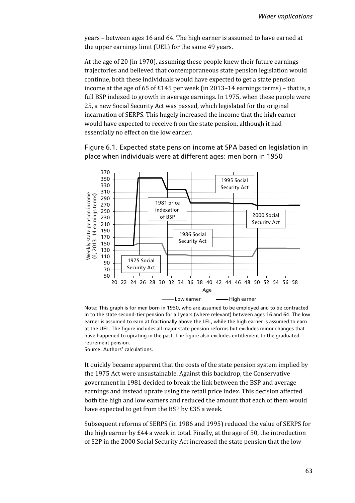years – between ages 16 and 64. The high earner is assumed to have earned at the upper earnings limit (UEL) for the same 49 years.

At the age of 20 (in 1970), assuming these people knew their future earnings trajectories and believed that contemporaneous state pension legislation would continue, both these individuals would have expected to get a state pension income at the age of 65 of £145 per week (in 2013–14 earnings terms) – that is, a full BSP indexed to growth in average earnings. In 1975, when these people were 25, a new Social Security Act was passed, which legislated for the original incarnation of SERPS. This hugely increased the income that the high earner would have expected to receive from the state pension, although it had essentially no effect on the low earner.

Figure 6.1. Expected state pension income at SPA based on legislation in place when individuals were at different ages: men born in 1950



Note: This graph is for men born in 1950, who are assumed to be employed and to be contracted in to the state second-tier pension for all years (where relevant) between ages 16 and 64. The low earner is assumed to earn at fractionally above the LEL, while the high earner is assumed to earn at the UEL. The figure includes all major state pension reforms but excludes minor changes that have happened to uprating in the past. The figure also excludes entitlement to the graduated retirement pension.

Source: Authors' calculations.

It quickly became apparent that the costs of the state pension system implied by the 1975 Act were unsustainable. Against this backdrop, the Conservative government in 1981 decided to break the link between the BSP and average earnings and instead uprate using the retail price index. This decision affected both the high and low earners and reduced the amount that each of them would have expected to get from the BSP by £35 a week.

Subsequent reforms of SERPS (in 1986 and 1995) reduced the value of SERPS for the high earner by £44 a week in total. Finally, at the age of 50, the introduction of S2P in the 2000 Social Security Act increased the state pension that the low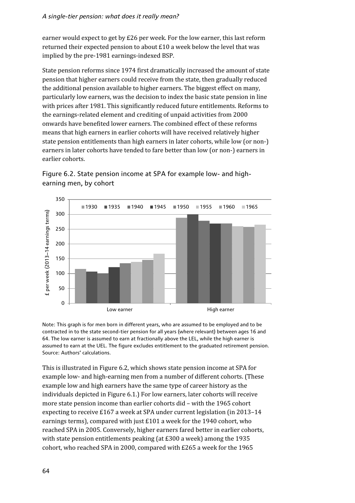earner would expect to get by £26 per week. For the low earner, this last reform returned their expected pension to about £10 a week below the level that was implied by the pre-1981 earnings-indexed BSP.

State pension reforms since 1974 first dramatically increased the amount of state pension that higher earners could receive from the state, then gradually reduced the additional pension available to higher earners. The biggest effect on many, particularly low earners, was the decision to index the basic state pension in line with prices after 1981. This significantly reduced future entitlements. Reforms to the earnings-related element and crediting of unpaid activities from 2000 onwards have benefited lower earners. The combined effect of these reforms means that high earners in earlier cohorts will have received relatively higher state pension entitlements than high earners in later cohorts, while low (or non-) earners in later cohorts have tended to fare better than low (or non-) earners in earlier cohorts.





Note: This graph is for men born in different years, who are assumed to be employed and to be contracted in to the state second-tier pension for all years (where relevant) between ages 16 and 64. The low earner is assumed to earn at fractionally above the LEL, while the high earner is assumed to earn at the UEL. The figure excludes entitlement to the graduated retirement pension. Source: Authors' calculations.

This is illustrated in Figure 6.2, which shows state pension income at SPA for example low- and high-earning men from a number of different cohorts. (These example low and high earners have the same type of career history as the individuals depicted in Figure 6.1.) For low earners, later cohorts will receive more state pension income than earlier cohorts did – with the 1965 cohort expecting to receive £167 a week at SPA under current legislation (in 2013–14 earnings terms), compared with just £101 a week for the 1940 cohort, who reached SPA in 2005. Conversely, higher earners fared better in earlier cohorts, with state pension entitlements peaking (at £300 a week) among the 1935 cohort, who reached SPA in 2000, compared with £265 a week for the 1965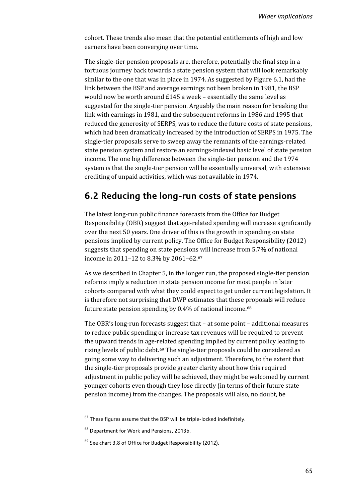cohort. These trends also mean that the potential entitlements of high and low earners have been converging over time.

The single-tier pension proposals are, therefore, potentially the final step in a tortuous journey back towards a state pension system that will look remarkably similar to the one that was in place in 1974. As suggested by Figure 6.1, had the link between the BSP and average earnings not been broken in 1981, the BSP would now be worth around £145 a week – essentially the same level as suggested for the single-tier pension. Arguably the main reason for breaking the link with earnings in 1981, and the subsequent reforms in 1986 and 1995 that reduced the generosity of SERPS, was to reduce the future costs of state pensions, which had been dramatically increased by the introduction of SERPS in 1975. The single-tier proposals serve to sweep away the remnants of the earnings-related state pension system and restore an earnings-indexed basic level of state pension income. The one big difference between the single-tier pension and the 1974 system is that the single-tier pension will be essentially universal, with extensive crediting of unpaid activities, which was not available in 1974.

# **6.2 Reducing the long-run costs of state pensions**

The latest long-run public finance forecasts from the Office for Budget Responsibility (OBR) suggest that age-related spending will increase significantly over the next 50 years. One driver of this is the growth in spending on state pensions implied by current policy. The Office for Budget Responsibility (2012) suggests that spending on state pensions will increase from 5.7% of national income in 2011–12 to 8.3% by 2061–62.[67](#page-71-0)

As we described in Chapter 5, in the longer run, the proposed single-tier pension reforms imply a reduction in state pension income for most people in later cohorts compared with what they could expect to get under current legislation. It is therefore not surprising that DWP estimates that these proposals will reduce future state pension spending by 0.4% of national income.[68](#page-71-1)

The OBR's long-run forecasts suggest that – at some point – additional measures to reduce public spending or increase tax revenues will be required to prevent the upward trends in age-related spending implied by current policy leading to rising levels of public debt.[69](#page-71-2) The single-tier proposals could be considered as going some way to delivering such an adjustment. Therefore, to the extent that the single-tier proposals provide greater clarity about how this required adjustment in public policy will be achieved, they might be welcomed by current younger cohorts even though they lose directly (in terms of their future state pension income) from the changes. The proposals will also, no doubt, be

 $\overline{\phantom{a}}$ 

<span id="page-71-0"></span> $67$  These figures assume that the BSP will be triple-locked indefinitely.

<span id="page-71-1"></span><sup>68</sup> Department for Work and Pensions, 2013b.

<span id="page-71-2"></span> $69$  See chart 3.8 of Office for Budget Responsibility (2012).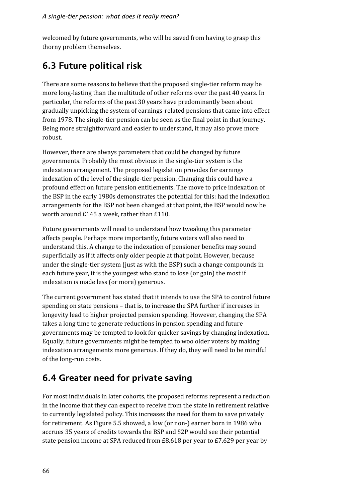welcomed by future governments, who will be saved from having to grasp this thorny problem themselves.

## **6.3 Future political risk**

There are some reasons to believe that the proposed single-tier reform may be more long-lasting than the multitude of other reforms over the past 40 years. In particular, the reforms of the past 30 years have predominantly been about gradually unpicking the system of earnings-related pensions that came into effect from 1978. The single-tier pension can be seen as the final point in that journey. Being more straightforward and easier to understand, it may also prove more robust.

However, there are always parameters that could be changed by future governments. Probably the most obvious in the single-tier system is the indexation arrangement. The proposed legislation provides for earnings indexation of the level of the single-tier pension. Changing this could have a profound effect on future pension entitlements. The move to price indexation of the BSP in the early 1980s demonstrates the potential for this: had the indexation arrangements for the BSP not been changed at that point, the BSP would now be worth around £145 a week, rather than £110.

Future governments will need to understand how tweaking this parameter affects people. Perhaps more importantly, future voters will also need to understand this. A change to the indexation of pensioner benefits may sound superficially as if it affects only older people at that point. However, because under the single-tier system (just as with the BSP) such a change compounds in each future year, it is the youngest who stand to lose (or gain) the most if indexation is made less (or more) generous.

The current government has stated that it intends to use the SPA to control future spending on state pensions – that is, to increase the SPA further if increases in longevity lead to higher projected pension spending. However, changing the SPA takes a long time to generate reductions in pension spending and future governments may be tempted to look for quicker savings by changing indexation. Equally, future governments might be tempted to woo older voters by making indexation arrangements more generous. If they do, they will need to be mindful of the long-run costs.

## **6.4 Greater need for private saving**

For most individuals in later cohorts, the proposed reforms represent a reduction in the income that they can expect to receive from the state in retirement relative to currently legislated policy. This increases the need for them to save privately for retirement. As Figure 5.5 showed, a low (or non-) earner born in 1986 who accrues 35 years of credits towards the BSP and S2P would see their potential state pension income at SPA reduced from £8,618 per year to £7,629 per year by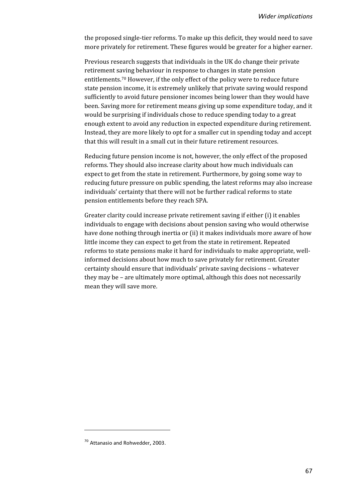the proposed single-tier reforms. To make up this deficit, they would need to save more privately for retirement. These figures would be greater for a higher earner.

Previous research suggests that individuals in the UK do change their private retirement saving behaviour in response to changes in state pension entitlements.[70](#page-73-0) However, if the only effect of the policy were to reduce future state pension income, it is extremely unlikely that private saving would respond sufficiently to avoid future pensioner incomes being lower than they would have been. Saving more for retirement means giving up some expenditure today, and it would be surprising if individuals chose to reduce spending today to a great enough extent to avoid any reduction in expected expenditure during retirement. Instead, they are more likely to opt for a smaller cut in spending today and accept that this will result in a small cut in their future retirement resources.

Reducing future pension income is not, however, the only effect of the proposed reforms. They should also increase clarity about how much individuals can expect to get from the state in retirement. Furthermore, by going some way to reducing future pressure on public spending, the latest reforms may also increase individuals' certainty that there will not be further radical reforms to state pension entitlements before they reach SPA.

Greater clarity could increase private retirement saving if either (i) it enables individuals to engage with decisions about pension saving who would otherwise have done nothing through inertia or (ii) it makes individuals more aware of how little income they can expect to get from the state in retirement. Repeated reforms to state pensions make it hard for individuals to make appropriate, wellinformed decisions about how much to save privately for retirement. Greater certainty should ensure that individuals' private saving decisions – whatever they may be – are ultimately more optimal, although this does not necessarily mean they will save more.

**.** 

<span id="page-73-0"></span><sup>70</sup> Attanasio and Rohwedder, 2003.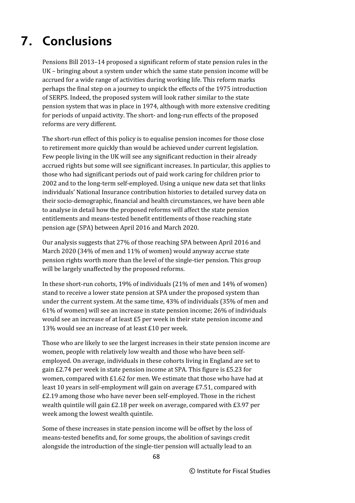# **7. Conclusions**

Pensions Bill 2013–14 proposed a significant reform of state pension rules in the UK – bringing about a system under which the same state pension income will be accrued for a wide range of activities during working life. This reform marks perhaps the final step on a journey to unpick the effects of the 1975 introduction of SERPS. Indeed, the proposed system will look rather similar to the state pension system that was in place in 1974, although with more extensive crediting for periods of unpaid activity. The short- and long-run effects of the proposed reforms are very different.

The short-run effect of this policy is to equalise pension incomes for those close to retirement more quickly than would be achieved under current legislation. Few people living in the UK will see any significant reduction in their already accrued rights but some will see significant increases. In particular, this applies to those who had significant periods out of paid work caring for children prior to 2002 and to the long-term self-employed. Using a unique new data set that links individuals' National Insurance contribution histories to detailed survey data on their socio-demographic, financial and health circumstances, we have been able to analyse in detail how the proposed reforms will affect the state pension entitlements and means-tested benefit entitlements of those reaching state pension age (SPA) between April 2016 and March 2020.

Our analysis suggests that 27% of those reaching SPA between April 2016 and March 2020 (34% of men and 11% of women) would anyway accrue state pension rights worth more than the level of the single-tier pension. This group will be largely unaffected by the proposed reforms.

In these short-run cohorts, 19% of individuals (21% of men and 14% of women) stand to receive a lower state pension at SPA under the proposed system than under the current system. At the same time, 43% of individuals (35% of men and 61% of women) will see an increase in state pension income; 26% of individuals would see an increase of at least £5 per week in their state pension income and 13% would see an increase of at least £10 per week.

Those who are likely to see the largest increases in their state pension income are women, people with relatively low wealth and those who have been selfemployed. On average, individuals in these cohorts living in England are set to gain £2.74 per week in state pension income at SPA. This figure is £5.23 for women, compared with £1.62 for men. We estimate that those who have had at least 10 years in self-employment will gain on average £7.51, compared with £2.19 among those who have never been self-employed. Those in the richest wealth quintile will gain £2.18 per week on average, compared with £3.97 per week among the lowest wealth quintile.

Some of these increases in state pension income will be offset by the loss of means-tested benefits and, for some groups, the abolition of savings credit alongside the introduction of the single-tier pension will actually lead to an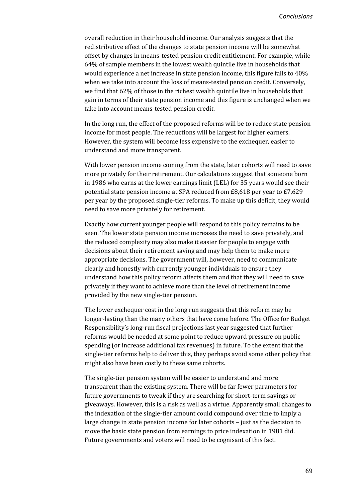overall reduction in their household income. Our analysis suggests that the redistributive effect of the changes to state pension income will be somewhat offset by changes in means-tested pension credit entitlement. For example, while 64% of sample members in the lowest wealth quintile live in households that would experience a net increase in state pension income, this figure falls to 40% when we take into account the loss of means-tested pension credit. Conversely, we find that 62% of those in the richest wealth quintile live in households that gain in terms of their state pension income and this figure is unchanged when we take into account means-tested pension credit.

In the long run, the effect of the proposed reforms will be to reduce state pension income for most people. The reductions will be largest for higher earners. However, the system will become less expensive to the exchequer, easier to understand and more transparent.

With lower pension income coming from the state, later cohorts will need to save more privately for their retirement. Our calculations suggest that someone born in 1986 who earns at the lower earnings limit (LEL) for 35 years would see their potential state pension income at SPA reduced from £8,618 per year to £7,629 per year by the proposed single-tier reforms. To make up this deficit, they would need to save more privately for retirement.

Exactly how current younger people will respond to this policy remains to be seen. The lower state pension income increases the need to save privately, and the reduced complexity may also make it easier for people to engage with decisions about their retirement saving and may help them to make more appropriate decisions. The government will, however, need to communicate clearly and honestly with currently younger individuals to ensure they understand how this policy reform affects them and that they will need to save privately if they want to achieve more than the level of retirement income provided by the new single-tier pension.

The lower exchequer cost in the long run suggests that this reform may be longer-lasting than the many others that have come before. The Office for Budget Responsibility's long-run fiscal projections last year suggested that further reforms would be needed at some point to reduce upward pressure on public spending (or increase additional tax revenues) in future. To the extent that the single-tier reforms help to deliver this, they perhaps avoid some other policy that might also have been costly to these same cohorts.

The single-tier pension system will be easier to understand and more transparent than the existing system. There will be far fewer parameters for future governments to tweak if they are searching for short-term savings or giveaways. However, this is a risk as well as a virtue. Apparently small changes to the indexation of the single-tier amount could compound over time to imply a large change in state pension income for later cohorts – just as the decision to move the basic state pension from earnings to price indexation in 1981 did. Future governments and voters will need to be cognisant of this fact.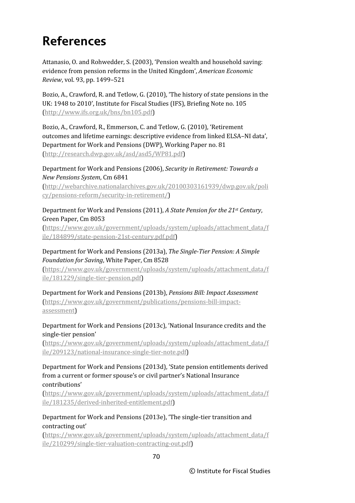# **References**

Attanasio, O. and Rohwedder, S. (2003), 'Pension wealth and household saving: evidence from pension reforms in the United Kingdom', *American Economic Review*, vol. 93, pp. 1499–521

Bozio, A., Crawford, R. and Tetlow, G. (2010), 'The history of state pensions in the UK: 1948 to 2010', Institute for Fiscal Studies (IFS), Briefing Note no. 105 [\(http://www.ifs.org.uk/bns/bn105.pdf\)](http://www.ifs.org.uk/bns/bn105.pdf)

Bozio, A., Crawford, R., Emmerson, C. and Tetlow, G. (2010), 'Retirement outcomes and lifetime earnings: descriptive evidence from linked ELSA–NI data', Department for Work and Pensions (DWP), Working Paper no. 81 [\(http://research.dwp.gov.uk/asd/asd5/WP81.pdf\)](http://research.dwp.gov.uk/asd/asd5/WP81.pdf)

Department for Work and Pensions (2006), *Security in Retirement: Towards a New Pensions System*, Cm 6841

(http://webarchive.nationalarchives.gov.uk/20100303161939/dwp.gov.uk/poli cy/pensions-reform/security-in-retirement/)

#### Department for Work and Pensions (2011), *A State Pension for the 21st Century*, Green Paper, Cm 8053

(https://www.gov.uk/government/uploads/system/uploads/attachment\_data/f ile/184899/state-pension-21st-century.pdf.pdf)

### Department for Work and Pensions (2013a), *The Single-Tier Pension: A Simple Foundation for Saving*, White Paper, Cm 8528

(https://www.gov.uk/government/uploads/system/uploads/attachment\_data/f ile/181229/single-tier-pension.pdf)

Department for Work and Pensions (2013b), *Pensions Bill: Impact Assessment* [\(https://www.gov.uk/government/publications/pensions-bill-impact](https://www.gov.uk/government/publications/pensions-bill-impact-assessment)[assessment\)](https://www.gov.uk/government/publications/pensions-bill-impact-assessment)

### Department for Work and Pensions (2013c), 'National Insurance credits and the single-tier pension'

(https://www.gov.uk/government/uploads/system/uploads/attachment\_data/f ile/209123/national-insurance-single-tier-note.pdf)

#### Department for Work and Pensions (2013d), 'State pension entitlements derived from a current or former spouse's or civil partner's National Insurance contributions'

[\(https://www.gov.uk/government/uploads/system/uploads/attachment\\_data/f](https://www.gov.uk/government/uploads/system/uploads/attachment_data/file/181235/derived-inherited-entitlement.pdf) [ile/181235/derived-inherited-entitlement.pdf\)](https://www.gov.uk/government/uploads/system/uploads/attachment_data/file/181235/derived-inherited-entitlement.pdf)

Department for Work and Pensions (2013e), 'The single-tier transition and contracting out'

[\(https://www.gov.uk/government/uploads/system/uploads/attachment\\_data/f](https://www.gov.uk/government/uploads/system/uploads/attachment_data/file/210299/single-tier-valuation-contracting-out.pdf) [ile/210299/single-tier-valuation-contracting-out.pdf\)](https://www.gov.uk/government/uploads/system/uploads/attachment_data/file/210299/single-tier-valuation-contracting-out.pdf)